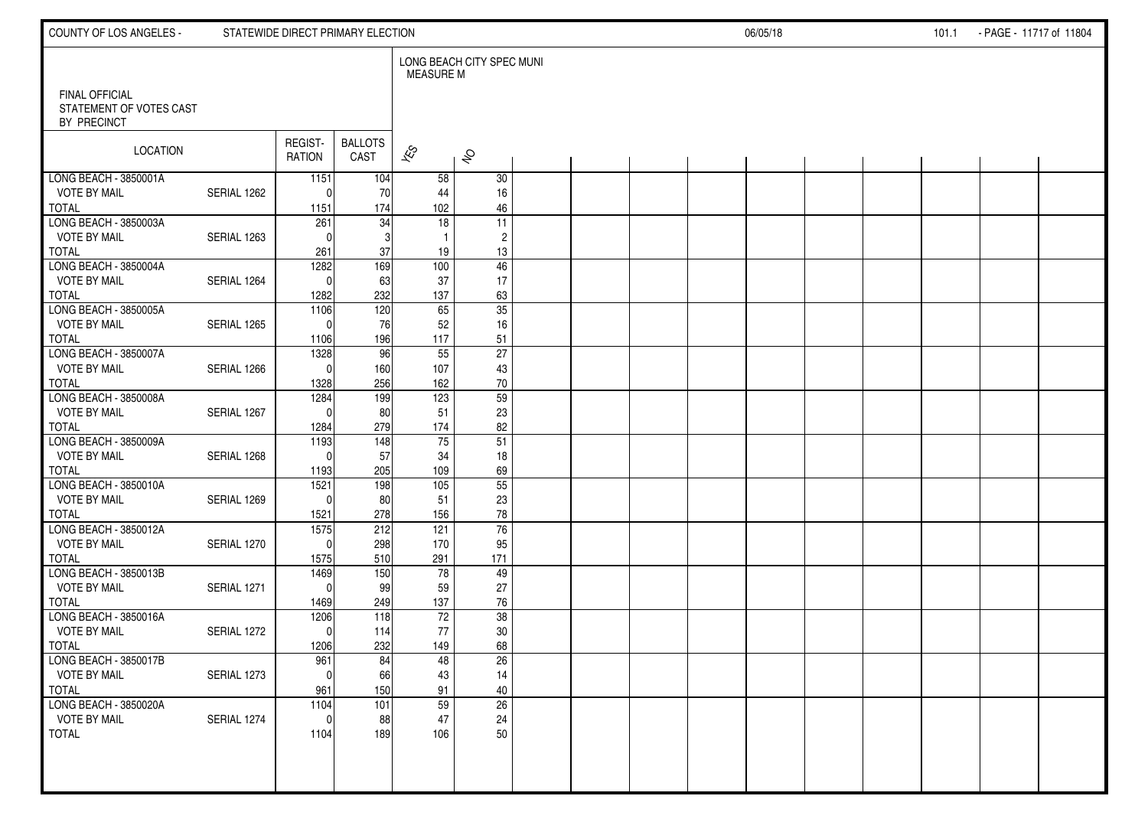| COUNTY OF LOS ANGELES -                          |             | STATEWIDE DIRECT PRIMARY ELECTION |                        |                          |                           |  |  | 06/05/18 |  | 101.1 | - PAGE - 11717 of 11804 |  |
|--------------------------------------------------|-------------|-----------------------------------|------------------------|--------------------------|---------------------------|--|--|----------|--|-------|-------------------------|--|
| <b>FINAL OFFICIAL</b><br>STATEMENT OF VOTES CAST |             |                                   |                        | <b>MEASURE M</b>         | LONG BEACH CITY SPEC MUNI |  |  |          |  |       |                         |  |
| BY PRECINCT                                      |             |                                   |                        |                          |                           |  |  |          |  |       |                         |  |
| LOCATION                                         |             | REGIST-<br><b>RATION</b>          | <b>BALLOTS</b><br>CAST | $\overline{\mathscr{K}}$ | $\hat{\mathcal{S}}$       |  |  |          |  |       |                         |  |
| LONG BEACH - 3850001A                            |             | 1151                              | 104                    | 58                       | 30                        |  |  |          |  |       |                         |  |
| <b>VOTE BY MAIL</b><br><b>TOTAL</b>              | SERIAL 1262 | $\Omega$<br>1151                  | 70<br>174              | 44<br>102                | 16<br>46                  |  |  |          |  |       |                         |  |
| LONG BEACH - 3850003A                            |             | 261                               | 34                     | 18                       | 11                        |  |  |          |  |       |                         |  |
| <b>VOTE BY MAIL</b>                              | SERIAL 1263 | $\Omega$                          | 3                      | $\mathbf{1}$             | $\overline{c}$            |  |  |          |  |       |                         |  |
| <b>TOTAL</b>                                     |             | 261                               | 37                     | 19                       | $13$                      |  |  |          |  |       |                         |  |
| LONG BEACH - 3850004A                            |             | 1282                              | 169                    | 100                      | 46                        |  |  |          |  |       |                         |  |
| <b>VOTE BY MAIL</b>                              | SERIAL 1264 | $\Omega$                          | 63                     | 37                       | 17                        |  |  |          |  |       |                         |  |
| <b>TOTAL</b><br>LONG BEACH - 3850005A            |             | 1282<br>$\frac{1106}{ }$          | 232<br>120             | 137<br>65                | 63<br>35                  |  |  |          |  |       |                         |  |
| <b>VOTE BY MAIL</b>                              | SERIAL 1265 | $\Omega$                          | 76                     | 52                       | 16                        |  |  |          |  |       |                         |  |
| <b>TOTAL</b>                                     |             | 1106                              | 196                    | 117                      | 51                        |  |  |          |  |       |                         |  |
| LONG BEACH - 3850007A                            |             | 1328                              | 96                     | 55                       | $\overline{27}$           |  |  |          |  |       |                         |  |
| <b>VOTE BY MAIL</b>                              | SERIAL 1266 | $\Omega$                          | 160                    | 107                      | 43                        |  |  |          |  |       |                         |  |
| <b>TOTAL</b>                                     |             | 1328                              | 256                    | 162                      | $70\,$                    |  |  |          |  |       |                         |  |
| LONG BEACH - 3850008A<br><b>VOTE BY MAIL</b>     | SERIAL 1267 | 1284<br>$\Omega$                  | 199<br>80              | 123<br>51                | 59<br>23                  |  |  |          |  |       |                         |  |
| <b>TOTAL</b>                                     |             | 1284                              | 279                    | 174                      | 82                        |  |  |          |  |       |                         |  |
| LONG BEACH - 3850009A                            |             | 1193                              | 148                    | 75                       | 51                        |  |  |          |  |       |                         |  |
| <b>VOTE BY MAIL</b>                              | SERIAL 1268 | $\Omega$                          | 57                     | 34                       | 18                        |  |  |          |  |       |                         |  |
| <b>TOTAL</b>                                     |             | 1193                              | 205                    | 109                      | 69                        |  |  |          |  |       |                         |  |
| LONG BEACH - 3850010A                            |             | 1521<br>$\Omega$                  | 198                    | 105                      | $\overline{55}$           |  |  |          |  |       |                         |  |
| <b>VOTE BY MAIL</b><br><b>TOTAL</b>              | SERIAL 1269 | 1521                              | 80<br>278              | 51<br>156                | 23<br>78                  |  |  |          |  |       |                         |  |
| LONG BEACH - 3850012A                            |             | 1575                              | 212                    | 121                      | 76                        |  |  |          |  |       |                         |  |
| <b>VOTE BY MAIL</b>                              | SERIAL 1270 | $\Omega$                          | 298                    | 170                      | 95                        |  |  |          |  |       |                         |  |
| <b>TOTAL</b>                                     |             | 1575                              | 510                    | 291                      | 171                       |  |  |          |  |       |                         |  |
| LONG BEACH - 3850013B                            |             | 1469                              | 150                    | 78                       | 49                        |  |  |          |  |       |                         |  |
| <b>VOTE BY MAIL</b><br><b>TOTAL</b>              | SERIAL 1271 | $\mathbf{0}$                      | 99<br>249              | 59<br>137                | 27                        |  |  |          |  |       |                         |  |
| LONG BEACH - 3850016A                            |             | 1469<br>1206                      | 118                    | 72                       | 76<br>38                  |  |  |          |  |       |                         |  |
| <b>VOTE BY MAIL</b>                              | SERIAL 1272 | $\mathbf{0}$                      | 114                    | 77                       | 30                        |  |  |          |  |       |                         |  |
| <b>TOTAL</b>                                     |             | 1206                              | 232                    | 149                      | 68                        |  |  |          |  |       |                         |  |
| LONG BEACH - 3850017B                            |             | 961                               | 84                     | 48                       | $\overline{26}$           |  |  |          |  |       |                         |  |
| <b>VOTE BY MAIL</b>                              | SERIAL 1273 | 0                                 | 66                     | 43                       | 14                        |  |  |          |  |       |                         |  |
| <b>TOTAL</b><br>LONG BEACH - 3850020A            |             | 961<br>1104                       | 150<br>101             | 91<br>59                 | 40<br>$\overline{26}$     |  |  |          |  |       |                         |  |
| <b>VOTE BY MAIL</b>                              | SERIAL 1274 | $\mathbf{0}$                      | 88                     | 47                       | 24                        |  |  |          |  |       |                         |  |
| <b>TOTAL</b>                                     |             | 1104                              | 189                    | 106                      | 50                        |  |  |          |  |       |                         |  |
|                                                  |             |                                   |                        |                          |                           |  |  |          |  |       |                         |  |
|                                                  |             |                                   |                        |                          |                           |  |  |          |  |       |                         |  |
|                                                  |             |                                   |                        |                          |                           |  |  |          |  |       |                         |  |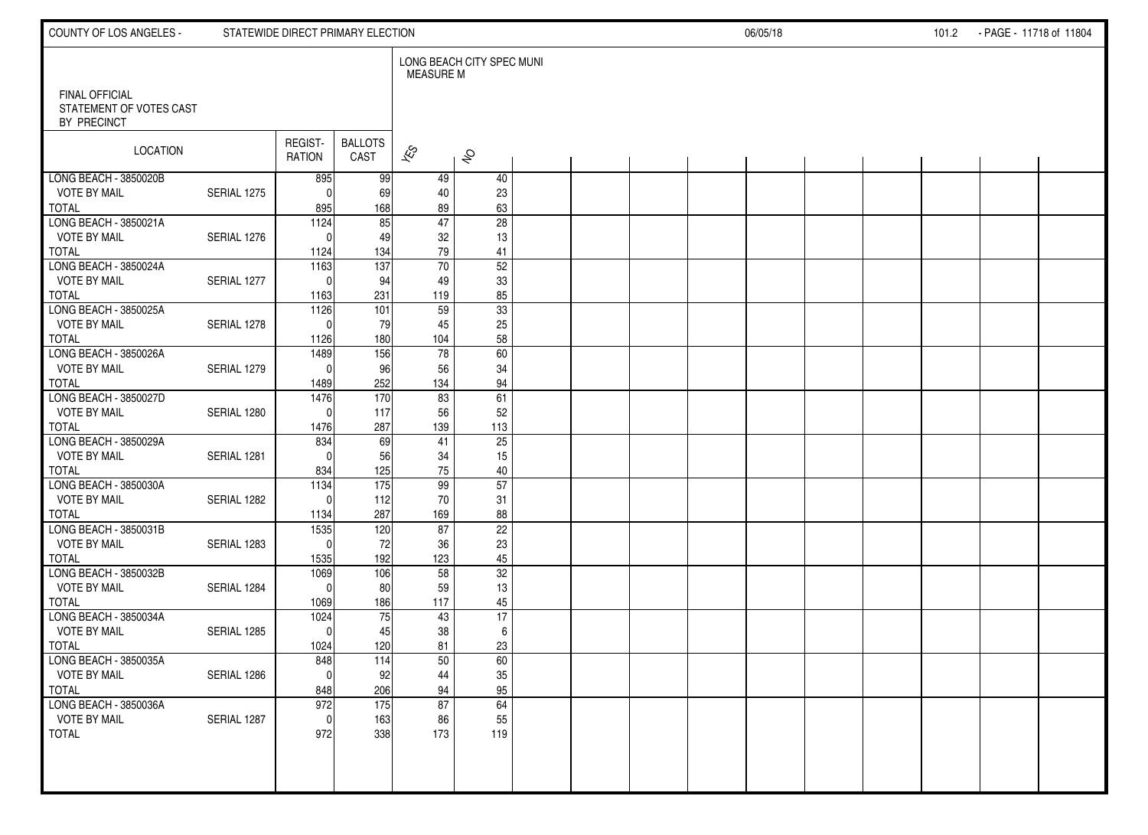| COUNTY OF LOS ANGELES -                          |             | STATEWIDE DIRECT PRIMARY ELECTION |                        |                          |                           |  |  | 06/05/18 |  | 101.2 - PAGE - 11718 of 11804 |  |
|--------------------------------------------------|-------------|-----------------------------------|------------------------|--------------------------|---------------------------|--|--|----------|--|-------------------------------|--|
| <b>FINAL OFFICIAL</b><br>STATEMENT OF VOTES CAST |             |                                   |                        | <b>MEASURE M</b>         | LONG BEACH CITY SPEC MUNI |  |  |          |  |                               |  |
| BY PRECINCT                                      |             |                                   |                        |                          |                           |  |  |          |  |                               |  |
| LOCATION                                         |             | REGIST-<br><b>RATION</b>          | <b>BALLOTS</b><br>CAST | $\overline{\mathscr{K}}$ | $\hat{\mathcal{S}}$       |  |  |          |  |                               |  |
| LONG BEACH - 3850020B                            |             | 895                               | 99                     | 49                       | 40                        |  |  |          |  |                               |  |
| <b>VOTE BY MAIL</b><br><b>TOTAL</b>              | SERIAL 1275 | $\mathbf{0}$                      | 69                     | 40                       | 23                        |  |  |          |  |                               |  |
| LONG BEACH - 3850021A                            |             | 895<br>1124                       | 168<br>85              | 89<br>47                 | 63<br>$\overline{28}$     |  |  |          |  |                               |  |
| <b>VOTE BY MAIL</b>                              | SERIAL 1276 | $\Omega$                          | 49                     | 32                       | 13                        |  |  |          |  |                               |  |
| <b>TOTAL</b>                                     |             | 1124                              | 134                    | 79                       | 41                        |  |  |          |  |                               |  |
| LONG BEACH - 3850024A                            |             | 1163                              | 137                    | $\overline{70}$          | $\overline{52}$           |  |  |          |  |                               |  |
| <b>VOTE BY MAIL</b>                              | SERIAL 1277 | $\Omega$                          | 94                     | 49                       | 33                        |  |  |          |  |                               |  |
| <b>TOTAL</b><br>LONG BEACH - 3850025A            |             | 1163<br>$\frac{1126}{ }$          | 231<br>101             | 119<br>59                | 85<br>33                  |  |  |          |  |                               |  |
| <b>VOTE BY MAIL</b>                              | SERIAL 1278 | $\Omega$                          | 79                     | 45                       | 25                        |  |  |          |  |                               |  |
| <b>TOTAL</b>                                     |             | 1126                              | 180                    | 104                      | 58                        |  |  |          |  |                               |  |
| LONG BEACH - 3850026A                            |             | 1489                              | 156                    | 78                       | 60                        |  |  |          |  |                               |  |
| <b>VOTE BY MAIL</b>                              | SERIAL 1279 | $\Omega$                          | 96                     | 56                       | 34                        |  |  |          |  |                               |  |
| <b>TOTAL</b>                                     |             | 1489                              | 252                    | 134                      | 94                        |  |  |          |  |                               |  |
| LONG BEACH - 3850027D                            |             | 1476                              | 170                    | 83                       | 61                        |  |  |          |  |                               |  |
| <b>VOTE BY MAIL</b><br><b>TOTAL</b>              | SERIAL 1280 | $\Omega$<br>1476                  | 117<br>287             | 56<br>139                | 52<br>113                 |  |  |          |  |                               |  |
| LONG BEACH - 3850029A                            |             | 834                               | 69                     | 41                       | $\overline{25}$           |  |  |          |  |                               |  |
| <b>VOTE BY MAIL</b>                              | SERIAL 1281 | $\Omega$                          | 56                     | 34                       | 15                        |  |  |          |  |                               |  |
| <b>TOTAL</b>                                     |             | 834                               | 125                    | ${\bf 75}$               | 40                        |  |  |          |  |                               |  |
| LONG BEACH - 3850030A                            |             | 1134                              | 175                    | 99                       | 57                        |  |  |          |  |                               |  |
| <b>VOTE BY MAIL</b>                              | SERIAL 1282 | $\Omega$                          | 112                    | 70                       | 31                        |  |  |          |  |                               |  |
| <b>TOTAL</b><br>LONG BEACH - 3850031B            |             | 1134<br>1535                      | 287<br>120             | 169<br>87                | 88<br>22                  |  |  |          |  |                               |  |
| <b>VOTE BY MAIL</b>                              | SERIAL 1283 | $\Omega$                          | 72                     | 36                       | 23                        |  |  |          |  |                               |  |
| <b>TOTAL</b>                                     |             | 1535                              | 192                    | 123                      | 45                        |  |  |          |  |                               |  |
| LONG BEACH - 3850032B                            |             | 1069                              | 106                    | 58                       | $\overline{32}$           |  |  |          |  |                               |  |
| <b>VOTE BY MAIL</b>                              | SERIAL 1284 | $\mathbf{0}$                      | 80                     | 59                       | 13                        |  |  |          |  |                               |  |
| <b>TOTAL</b>                                     |             | 1069                              | 186                    | 117                      | 45                        |  |  |          |  |                               |  |
| LONG BEACH - 3850034A<br><b>VOTE BY MAIL</b>     | SERIAL 1285 | 1024<br>$\mathbf{0}$              | 75<br>45               | 43<br>38                 | 17<br>6                   |  |  |          |  |                               |  |
| <b>TOTAL</b>                                     |             | 1024                              | 120                    | 81                       | 23                        |  |  |          |  |                               |  |
| LONG BEACH - 3850035A                            |             | 848                               | 114                    | 50                       | 60                        |  |  |          |  |                               |  |
| <b>VOTE BY MAIL</b>                              | SERIAL 1286 | 0                                 | 92                     | 44                       | $35\,$                    |  |  |          |  |                               |  |
| <b>TOTAL</b>                                     |             | 848                               | 206                    | 94                       | 95                        |  |  |          |  |                               |  |
| LONG BEACH - 3850036A                            |             | 972                               | 175                    | 87                       | 64                        |  |  |          |  |                               |  |
| <b>VOTE BY MAIL</b><br><b>TOTAL</b>              | SERIAL 1287 | 0<br>972                          | 163<br>338             | 86<br>173                | 55<br>119                 |  |  |          |  |                               |  |
|                                                  |             |                                   |                        |                          |                           |  |  |          |  |                               |  |
|                                                  |             |                                   |                        |                          |                           |  |  |          |  |                               |  |
|                                                  |             |                                   |                        |                          |                           |  |  |          |  |                               |  |
|                                                  |             |                                   |                        |                          |                           |  |  |          |  |                               |  |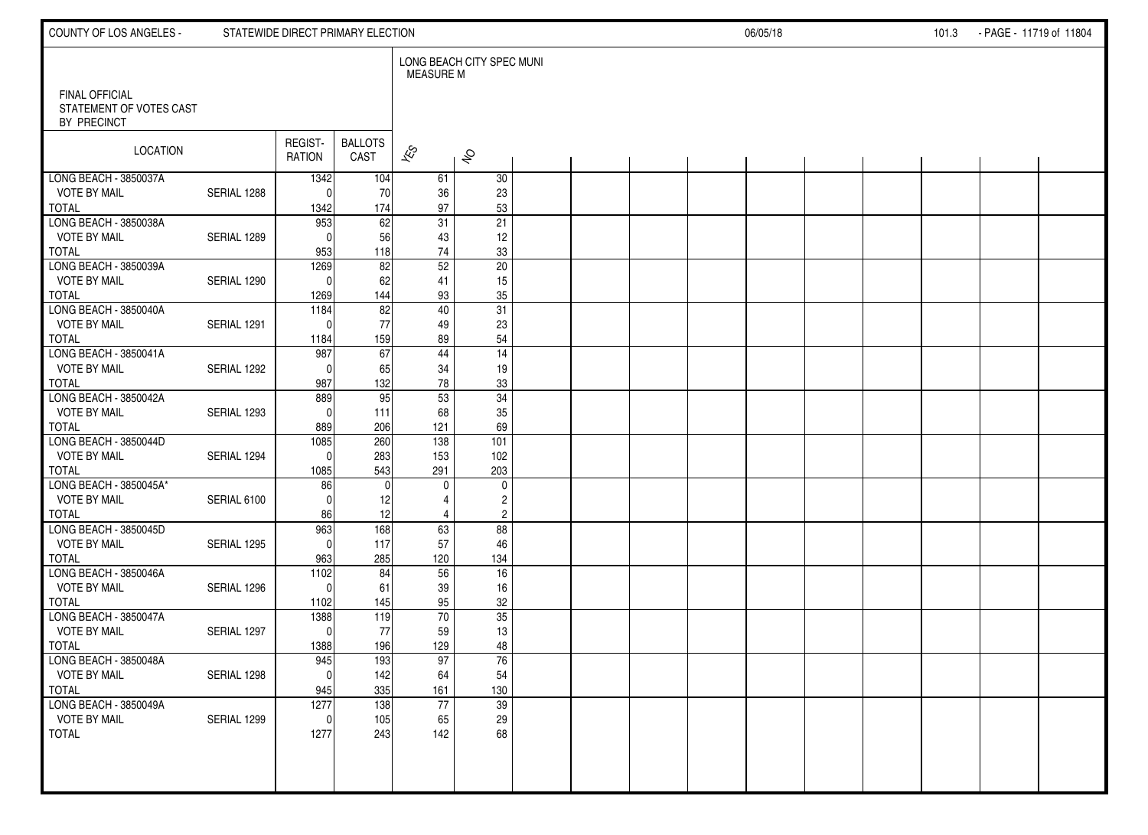| COUNTY OF LOS ANGELES -                          |             | STATEWIDE DIRECT PRIMARY ELECTION |                |                          |                                           |  |  | 06/05/18 |  | 101.3 | - PAGE - 11719 of 11804 |  |
|--------------------------------------------------|-------------|-----------------------------------|----------------|--------------------------|-------------------------------------------|--|--|----------|--|-------|-------------------------|--|
| <b>FINAL OFFICIAL</b><br>STATEMENT OF VOTES CAST |             |                                   |                | <b>MEASURE M</b>         | LONG BEACH CITY SPEC MUNI                 |  |  |          |  |       |                         |  |
| BY PRECINCT                                      |             |                                   |                |                          |                                           |  |  |          |  |       |                         |  |
| LOCATION                                         |             | REGIST-                           | <b>BALLOTS</b> | $\overline{\mathscr{E}}$ |                                           |  |  |          |  |       |                         |  |
|                                                  |             | RATION                            | CAST           |                          | $\hat{\mathcal{S}}$                       |  |  |          |  |       |                         |  |
| LONG BEACH - 3850037A<br><b>VOTE BY MAIL</b>     | SERIAL 1288 | 1342<br>$\Omega$                  | 104<br>70      | 61<br>36                 | 30<br>23                                  |  |  |          |  |       |                         |  |
| <b>TOTAL</b>                                     |             | 1342                              | 174            | 97                       | 53                                        |  |  |          |  |       |                         |  |
| LONG BEACH - 3850038A                            |             | 953                               | 62             | 31                       | $\overline{21}$                           |  |  |          |  |       |                         |  |
| <b>VOTE BY MAIL</b><br><b>TOTAL</b>              | SERIAL 1289 | $\Omega$<br>953                   | 56<br>118      | 43<br>74                 | 12<br>$33\,$                              |  |  |          |  |       |                         |  |
| LONG BEACH - 3850039A                            |             | 1269                              | 82             | 52                       | $\overline{20}$                           |  |  |          |  |       |                         |  |
| <b>VOTE BY MAIL</b>                              | SERIAL 1290 | $\Omega$                          | 62             | 41                       | 15                                        |  |  |          |  |       |                         |  |
| <b>TOTAL</b><br>LONG BEACH - 3850040A            |             | 1269<br>1184                      | 144<br>82      | 93<br>40                 | $35\,$<br>$\overline{31}$                 |  |  |          |  |       |                         |  |
| <b>VOTE BY MAIL</b>                              | SERIAL 1291 | $\Omega$                          | 77             | 49                       | 23                                        |  |  |          |  |       |                         |  |
| <b>TOTAL</b>                                     |             | 1184                              | 159            | 89                       | 54                                        |  |  |          |  |       |                         |  |
| LONG BEACH - 3850041A<br><b>VOTE BY MAIL</b>     | SERIAL 1292 | 987<br>$\Omega$                   | 67<br>65       | 44<br>34                 | $\overline{14}$                           |  |  |          |  |       |                         |  |
| <b>TOTAL</b>                                     |             | 987                               | 132            | 78                       | 19<br>$33\,$                              |  |  |          |  |       |                         |  |
| LONG BEACH - 3850042A                            |             | 889                               | 95             | 53                       | 34                                        |  |  |          |  |       |                         |  |
| <b>VOTE BY MAIL</b>                              | SERIAL 1293 | $\Omega$                          | 111            | 68                       | $35\,$                                    |  |  |          |  |       |                         |  |
| <b>TOTAL</b><br>LONG BEACH - 3850044D            |             | 889<br>1085                       | 206<br>260     | 121<br>138               | 69<br>101                                 |  |  |          |  |       |                         |  |
| <b>VOTE BY MAIL</b>                              | SERIAL 1294 | $\Omega$                          | 283            | 153                      | 102                                       |  |  |          |  |       |                         |  |
| <b>TOTAL</b>                                     |             | 1085                              | 543            | 291                      | 203                                       |  |  |          |  |       |                         |  |
| LONG BEACH - 3850045A*<br><b>VOTE BY MAIL</b>    |             | 86<br>$\mathbf 0$                 | $\mathbf 0$    | 0                        | 0                                         |  |  |          |  |       |                         |  |
| <b>TOTAL</b>                                     | SERIAL 6100 | 86                                | 12<br>12       | 4<br>$\overline{4}$      | $\overline{\mathbf{c}}$<br>$\overline{c}$ |  |  |          |  |       |                         |  |
| LONG BEACH - 3850045D                            |             | 963                               | 168            | 63                       | 88                                        |  |  |          |  |       |                         |  |
| <b>VOTE BY MAIL</b>                              | SERIAL 1295 | $\mathbf 0$                       | 117            | 57                       | 46                                        |  |  |          |  |       |                         |  |
| <b>TOTAL</b><br>LONG BEACH - 3850046A            |             | 963<br>$\frac{1102}{ }$           | 285<br>84      | 120<br>56                | 134<br>16                                 |  |  |          |  |       |                         |  |
| <b>VOTE BY MAIL</b>                              | SERIAL 1296 | $\Omega$                          | 61             | 39                       | $16\,$                                    |  |  |          |  |       |                         |  |
| <b>TOTAL</b>                                     |             | 1102                              | 145            | 95                       | $32\,$                                    |  |  |          |  |       |                         |  |
| LONG BEACH - 3850047A                            |             | 1388                              | 119            | $\overline{70}$          | 35                                        |  |  |          |  |       |                         |  |
| <b>VOTE BY MAIL</b><br><b>TOTAL</b>              | SERIAL 1297 | $\mathbf 0$<br>1388               | 77<br>196      | 59<br>129                | 13<br>48                                  |  |  |          |  |       |                         |  |
| LONG BEACH - 3850048A                            |             | 945                               | 193            | 97                       | 76                                        |  |  |          |  |       |                         |  |
| <b>VOTE BY MAIL</b>                              | SERIAL 1298 | 0                                 | 142            | 64                       | 54                                        |  |  |          |  |       |                         |  |
| <b>TOTAL</b>                                     |             | 945                               | 335            | 161                      | 130                                       |  |  |          |  |       |                         |  |
| LONG BEACH - 3850049A<br><b>VOTE BY MAIL</b>     | SERIAL 1299 | 1277<br>$\mathbf 0$               | 138<br>105     | $\overline{77}$<br>65    | 39<br>29                                  |  |  |          |  |       |                         |  |
| <b>TOTAL</b>                                     |             | 1277                              | 243            | 142                      | 68                                        |  |  |          |  |       |                         |  |
|                                                  |             |                                   |                |                          |                                           |  |  |          |  |       |                         |  |
|                                                  |             |                                   |                |                          |                                           |  |  |          |  |       |                         |  |
|                                                  |             |                                   |                |                          |                                           |  |  |          |  |       |                         |  |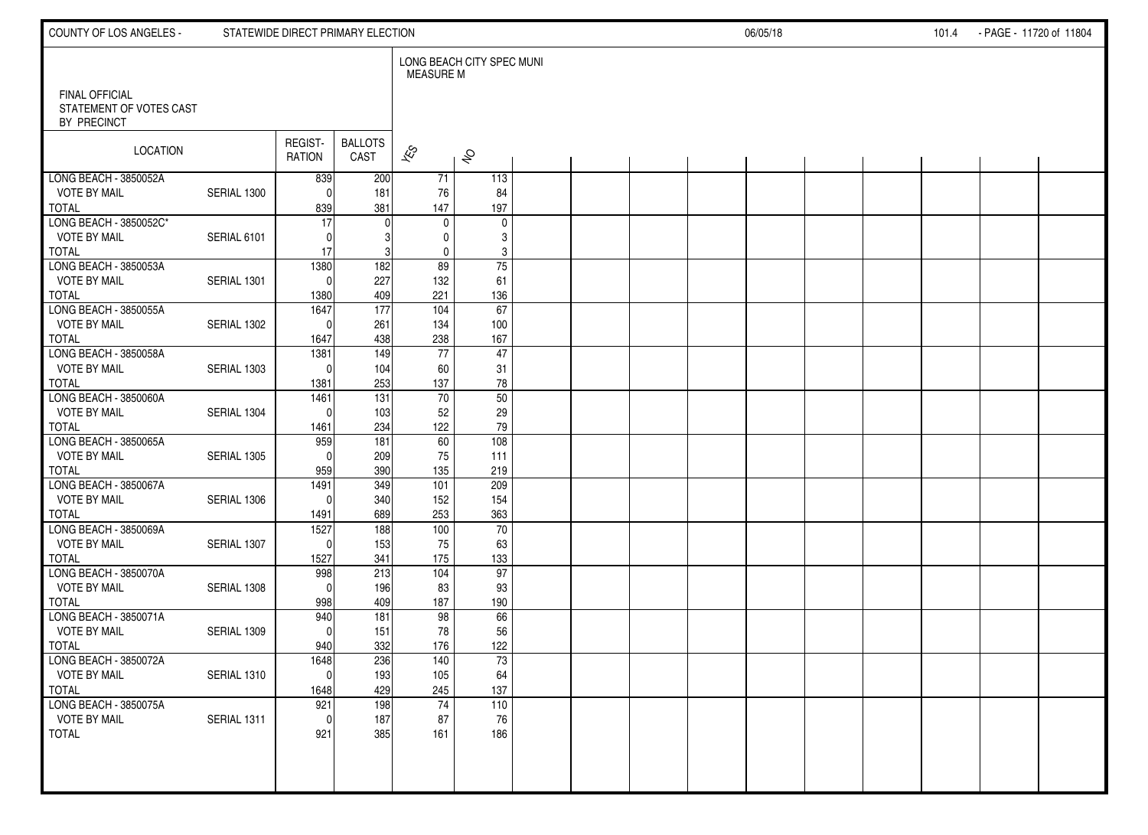| LONG BEACH CITY SPEC MUNI<br><b>MEASURE M</b><br><b>FINAL OFFICIAL</b><br>STATEMENT OF VOTES CAST<br>BY PRECINCT<br>REGIST-<br><b>BALLOTS</b><br>LOCATION<br>$\overline{\mathscr{K}}$<br>$\hat{\mathcal{S}}$<br>CAST<br><b>RATION</b><br>LONG BEACH - 3850052A<br>200<br>839<br>71<br>113<br><b>VOTE BY MAIL</b><br>SERIAL 1300<br>181<br>$\mathbf{0}$<br>76<br>84<br>381<br>197<br><b>TOTAL</b><br>839<br>147<br>LONG BEACH - 3850052C*<br>17<br>$\mathbf 0$<br>$\mathbf 0$<br>0<br><b>VOTE BY MAIL</b><br>3<br>SERIAL 6101<br>$\Omega$<br>$\mathbf{0}$<br><b>TOTAL</b><br>17<br>3<br>$\mathbf 0$<br>3<br>LONG BEACH - 3850053A<br>182<br>89<br>75<br>1380<br><b>VOTE BY MAIL</b><br>227<br>SERIAL 1301<br>132<br>61<br>$\Omega$<br>409<br><b>TOTAL</b><br>1380<br>221<br>136<br>177<br>67<br>LONG BEACH - 3850055A<br>1647<br>104<br><b>VOTE BY MAIL</b><br>SERIAL 1302<br>261<br>134<br>100<br>$\Omega$<br><b>TOTAL</b><br>438<br>238<br>167<br>1647<br>$\overline{77}$<br>$\overline{47}$<br>1381<br>149<br><b>VOTE BY MAIL</b><br>SERIAL 1303<br>104<br>60<br>31<br>$\Omega$<br><b>TOTAL</b><br>253<br>137<br>${\bf 78}$<br>1381<br>50<br>70<br>LONG BEACH - 3850060A<br>1461<br>131<br>29<br><b>VOTE BY MAIL</b><br>SERIAL 1304<br>103<br>52<br>$\Omega$<br><b>TOTAL</b><br>234<br>122<br>79<br>1461<br>959<br>181<br>60<br>108<br><b>VOTE BY MAIL</b><br>SERIAL 1305<br>209<br>75<br>111<br>$\Omega$<br><b>TOTAL</b><br>390<br>959<br>135<br>219<br>LONG BEACH - 3850067A<br>1491<br>349<br>209<br>101<br><b>VOTE BY MAIL</b><br>340<br>154<br>SERIAL 1306<br>152<br>$\Omega$<br><b>TOTAL</b><br>689<br>363<br>1491<br>253<br>70<br>LONG BEACH - 3850069A<br>1527<br>188<br>100<br><b>VOTE BY MAIL</b><br>153<br>SERIAL 1307<br>75<br>63<br>$\Omega$<br><b>TOTAL</b><br>1527<br>341<br>175<br>133<br>97<br>LONG BEACH - 3850070A<br>998<br>213<br>104<br><b>VOTE BY MAIL</b><br>SERIAL 1308<br>196<br>83<br>93<br>$\Omega$<br><b>TOTAL</b><br>998<br>409<br>187<br>190<br>66<br>98<br>LONG BEACH - 3850071A<br>940<br>181<br><b>VOTE BY MAIL</b><br>151<br>78<br>56<br>SERIAL 1309<br>$\Omega$<br><b>TOTAL</b><br>332<br>122<br>940<br>176<br>236<br>73<br>1648<br>140<br>64<br><b>VOTE BY MAIL</b><br>SERIAL 1310<br>193<br>105<br> 0 | COUNTY OF LOS ANGELES - | STATEWIDE DIRECT PRIMARY ELECTION |     |     |     |  |  | 06/05/18 |  | 101.4 | - PAGE - 11720 of 11804 |  |
|-----------------------------------------------------------------------------------------------------------------------------------------------------------------------------------------------------------------------------------------------------------------------------------------------------------------------------------------------------------------------------------------------------------------------------------------------------------------------------------------------------------------------------------------------------------------------------------------------------------------------------------------------------------------------------------------------------------------------------------------------------------------------------------------------------------------------------------------------------------------------------------------------------------------------------------------------------------------------------------------------------------------------------------------------------------------------------------------------------------------------------------------------------------------------------------------------------------------------------------------------------------------------------------------------------------------------------------------------------------------------------------------------------------------------------------------------------------------------------------------------------------------------------------------------------------------------------------------------------------------------------------------------------------------------------------------------------------------------------------------------------------------------------------------------------------------------------------------------------------------------------------------------------------------------------------------------------------------------------------------------------------------------------------------------------------------------------------------------------------------------------------------------------------------------------------------------------------------------------------------------|-------------------------|-----------------------------------|-----|-----|-----|--|--|----------|--|-------|-------------------------|--|
|                                                                                                                                                                                                                                                                                                                                                                                                                                                                                                                                                                                                                                                                                                                                                                                                                                                                                                                                                                                                                                                                                                                                                                                                                                                                                                                                                                                                                                                                                                                                                                                                                                                                                                                                                                                                                                                                                                                                                                                                                                                                                                                                                                                                                                               |                         |                                   |     |     |     |  |  |          |  |       |                         |  |
|                                                                                                                                                                                                                                                                                                                                                                                                                                                                                                                                                                                                                                                                                                                                                                                                                                                                                                                                                                                                                                                                                                                                                                                                                                                                                                                                                                                                                                                                                                                                                                                                                                                                                                                                                                                                                                                                                                                                                                                                                                                                                                                                                                                                                                               |                         |                                   |     |     |     |  |  |          |  |       |                         |  |
|                                                                                                                                                                                                                                                                                                                                                                                                                                                                                                                                                                                                                                                                                                                                                                                                                                                                                                                                                                                                                                                                                                                                                                                                                                                                                                                                                                                                                                                                                                                                                                                                                                                                                                                                                                                                                                                                                                                                                                                                                                                                                                                                                                                                                                               |                         |                                   |     |     |     |  |  |          |  |       |                         |  |
|                                                                                                                                                                                                                                                                                                                                                                                                                                                                                                                                                                                                                                                                                                                                                                                                                                                                                                                                                                                                                                                                                                                                                                                                                                                                                                                                                                                                                                                                                                                                                                                                                                                                                                                                                                                                                                                                                                                                                                                                                                                                                                                                                                                                                                               |                         |                                   |     |     |     |  |  |          |  |       |                         |  |
|                                                                                                                                                                                                                                                                                                                                                                                                                                                                                                                                                                                                                                                                                                                                                                                                                                                                                                                                                                                                                                                                                                                                                                                                                                                                                                                                                                                                                                                                                                                                                                                                                                                                                                                                                                                                                                                                                                                                                                                                                                                                                                                                                                                                                                               |                         |                                   |     |     |     |  |  |          |  |       |                         |  |
|                                                                                                                                                                                                                                                                                                                                                                                                                                                                                                                                                                                                                                                                                                                                                                                                                                                                                                                                                                                                                                                                                                                                                                                                                                                                                                                                                                                                                                                                                                                                                                                                                                                                                                                                                                                                                                                                                                                                                                                                                                                                                                                                                                                                                                               |                         |                                   |     |     |     |  |  |          |  |       |                         |  |
|                                                                                                                                                                                                                                                                                                                                                                                                                                                                                                                                                                                                                                                                                                                                                                                                                                                                                                                                                                                                                                                                                                                                                                                                                                                                                                                                                                                                                                                                                                                                                                                                                                                                                                                                                                                                                                                                                                                                                                                                                                                                                                                                                                                                                                               |                         |                                   |     |     |     |  |  |          |  |       |                         |  |
|                                                                                                                                                                                                                                                                                                                                                                                                                                                                                                                                                                                                                                                                                                                                                                                                                                                                                                                                                                                                                                                                                                                                                                                                                                                                                                                                                                                                                                                                                                                                                                                                                                                                                                                                                                                                                                                                                                                                                                                                                                                                                                                                                                                                                                               |                         |                                   |     |     |     |  |  |          |  |       |                         |  |
|                                                                                                                                                                                                                                                                                                                                                                                                                                                                                                                                                                                                                                                                                                                                                                                                                                                                                                                                                                                                                                                                                                                                                                                                                                                                                                                                                                                                                                                                                                                                                                                                                                                                                                                                                                                                                                                                                                                                                                                                                                                                                                                                                                                                                                               |                         |                                   |     |     |     |  |  |          |  |       |                         |  |
|                                                                                                                                                                                                                                                                                                                                                                                                                                                                                                                                                                                                                                                                                                                                                                                                                                                                                                                                                                                                                                                                                                                                                                                                                                                                                                                                                                                                                                                                                                                                                                                                                                                                                                                                                                                                                                                                                                                                                                                                                                                                                                                                                                                                                                               |                         |                                   |     |     |     |  |  |          |  |       |                         |  |
|                                                                                                                                                                                                                                                                                                                                                                                                                                                                                                                                                                                                                                                                                                                                                                                                                                                                                                                                                                                                                                                                                                                                                                                                                                                                                                                                                                                                                                                                                                                                                                                                                                                                                                                                                                                                                                                                                                                                                                                                                                                                                                                                                                                                                                               |                         |                                   |     |     |     |  |  |          |  |       |                         |  |
|                                                                                                                                                                                                                                                                                                                                                                                                                                                                                                                                                                                                                                                                                                                                                                                                                                                                                                                                                                                                                                                                                                                                                                                                                                                                                                                                                                                                                                                                                                                                                                                                                                                                                                                                                                                                                                                                                                                                                                                                                                                                                                                                                                                                                                               |                         |                                   |     |     |     |  |  |          |  |       |                         |  |
|                                                                                                                                                                                                                                                                                                                                                                                                                                                                                                                                                                                                                                                                                                                                                                                                                                                                                                                                                                                                                                                                                                                                                                                                                                                                                                                                                                                                                                                                                                                                                                                                                                                                                                                                                                                                                                                                                                                                                                                                                                                                                                                                                                                                                                               |                         |                                   |     |     |     |  |  |          |  |       |                         |  |
|                                                                                                                                                                                                                                                                                                                                                                                                                                                                                                                                                                                                                                                                                                                                                                                                                                                                                                                                                                                                                                                                                                                                                                                                                                                                                                                                                                                                                                                                                                                                                                                                                                                                                                                                                                                                                                                                                                                                                                                                                                                                                                                                                                                                                                               | LONG BEACH - 3850058A   |                                   |     |     |     |  |  |          |  |       |                         |  |
|                                                                                                                                                                                                                                                                                                                                                                                                                                                                                                                                                                                                                                                                                                                                                                                                                                                                                                                                                                                                                                                                                                                                                                                                                                                                                                                                                                                                                                                                                                                                                                                                                                                                                                                                                                                                                                                                                                                                                                                                                                                                                                                                                                                                                                               |                         |                                   |     |     |     |  |  |          |  |       |                         |  |
|                                                                                                                                                                                                                                                                                                                                                                                                                                                                                                                                                                                                                                                                                                                                                                                                                                                                                                                                                                                                                                                                                                                                                                                                                                                                                                                                                                                                                                                                                                                                                                                                                                                                                                                                                                                                                                                                                                                                                                                                                                                                                                                                                                                                                                               |                         |                                   |     |     |     |  |  |          |  |       |                         |  |
|                                                                                                                                                                                                                                                                                                                                                                                                                                                                                                                                                                                                                                                                                                                                                                                                                                                                                                                                                                                                                                                                                                                                                                                                                                                                                                                                                                                                                                                                                                                                                                                                                                                                                                                                                                                                                                                                                                                                                                                                                                                                                                                                                                                                                                               |                         |                                   |     |     |     |  |  |          |  |       |                         |  |
|                                                                                                                                                                                                                                                                                                                                                                                                                                                                                                                                                                                                                                                                                                                                                                                                                                                                                                                                                                                                                                                                                                                                                                                                                                                                                                                                                                                                                                                                                                                                                                                                                                                                                                                                                                                                                                                                                                                                                                                                                                                                                                                                                                                                                                               |                         |                                   |     |     |     |  |  |          |  |       |                         |  |
|                                                                                                                                                                                                                                                                                                                                                                                                                                                                                                                                                                                                                                                                                                                                                                                                                                                                                                                                                                                                                                                                                                                                                                                                                                                                                                                                                                                                                                                                                                                                                                                                                                                                                                                                                                                                                                                                                                                                                                                                                                                                                                                                                                                                                                               | LONG BEACH - 3850065A   |                                   |     |     |     |  |  |          |  |       |                         |  |
|                                                                                                                                                                                                                                                                                                                                                                                                                                                                                                                                                                                                                                                                                                                                                                                                                                                                                                                                                                                                                                                                                                                                                                                                                                                                                                                                                                                                                                                                                                                                                                                                                                                                                                                                                                                                                                                                                                                                                                                                                                                                                                                                                                                                                                               |                         |                                   |     |     |     |  |  |          |  |       |                         |  |
|                                                                                                                                                                                                                                                                                                                                                                                                                                                                                                                                                                                                                                                                                                                                                                                                                                                                                                                                                                                                                                                                                                                                                                                                                                                                                                                                                                                                                                                                                                                                                                                                                                                                                                                                                                                                                                                                                                                                                                                                                                                                                                                                                                                                                                               |                         |                                   |     |     |     |  |  |          |  |       |                         |  |
|                                                                                                                                                                                                                                                                                                                                                                                                                                                                                                                                                                                                                                                                                                                                                                                                                                                                                                                                                                                                                                                                                                                                                                                                                                                                                                                                                                                                                                                                                                                                                                                                                                                                                                                                                                                                                                                                                                                                                                                                                                                                                                                                                                                                                                               |                         |                                   |     |     |     |  |  |          |  |       |                         |  |
|                                                                                                                                                                                                                                                                                                                                                                                                                                                                                                                                                                                                                                                                                                                                                                                                                                                                                                                                                                                                                                                                                                                                                                                                                                                                                                                                                                                                                                                                                                                                                                                                                                                                                                                                                                                                                                                                                                                                                                                                                                                                                                                                                                                                                                               |                         |                                   |     |     |     |  |  |          |  |       |                         |  |
|                                                                                                                                                                                                                                                                                                                                                                                                                                                                                                                                                                                                                                                                                                                                                                                                                                                                                                                                                                                                                                                                                                                                                                                                                                                                                                                                                                                                                                                                                                                                                                                                                                                                                                                                                                                                                                                                                                                                                                                                                                                                                                                                                                                                                                               |                         |                                   |     |     |     |  |  |          |  |       |                         |  |
|                                                                                                                                                                                                                                                                                                                                                                                                                                                                                                                                                                                                                                                                                                                                                                                                                                                                                                                                                                                                                                                                                                                                                                                                                                                                                                                                                                                                                                                                                                                                                                                                                                                                                                                                                                                                                                                                                                                                                                                                                                                                                                                                                                                                                                               |                         |                                   |     |     |     |  |  |          |  |       |                         |  |
|                                                                                                                                                                                                                                                                                                                                                                                                                                                                                                                                                                                                                                                                                                                                                                                                                                                                                                                                                                                                                                                                                                                                                                                                                                                                                                                                                                                                                                                                                                                                                                                                                                                                                                                                                                                                                                                                                                                                                                                                                                                                                                                                                                                                                                               |                         |                                   |     |     |     |  |  |          |  |       |                         |  |
|                                                                                                                                                                                                                                                                                                                                                                                                                                                                                                                                                                                                                                                                                                                                                                                                                                                                                                                                                                                                                                                                                                                                                                                                                                                                                                                                                                                                                                                                                                                                                                                                                                                                                                                                                                                                                                                                                                                                                                                                                                                                                                                                                                                                                                               |                         |                                   |     |     |     |  |  |          |  |       |                         |  |
|                                                                                                                                                                                                                                                                                                                                                                                                                                                                                                                                                                                                                                                                                                                                                                                                                                                                                                                                                                                                                                                                                                                                                                                                                                                                                                                                                                                                                                                                                                                                                                                                                                                                                                                                                                                                                                                                                                                                                                                                                                                                                                                                                                                                                                               |                         |                                   |     |     |     |  |  |          |  |       |                         |  |
|                                                                                                                                                                                                                                                                                                                                                                                                                                                                                                                                                                                                                                                                                                                                                                                                                                                                                                                                                                                                                                                                                                                                                                                                                                                                                                                                                                                                                                                                                                                                                                                                                                                                                                                                                                                                                                                                                                                                                                                                                                                                                                                                                                                                                                               |                         |                                   |     |     |     |  |  |          |  |       |                         |  |
|                                                                                                                                                                                                                                                                                                                                                                                                                                                                                                                                                                                                                                                                                                                                                                                                                                                                                                                                                                                                                                                                                                                                                                                                                                                                                                                                                                                                                                                                                                                                                                                                                                                                                                                                                                                                                                                                                                                                                                                                                                                                                                                                                                                                                                               |                         |                                   |     |     |     |  |  |          |  |       |                         |  |
|                                                                                                                                                                                                                                                                                                                                                                                                                                                                                                                                                                                                                                                                                                                                                                                                                                                                                                                                                                                                                                                                                                                                                                                                                                                                                                                                                                                                                                                                                                                                                                                                                                                                                                                                                                                                                                                                                                                                                                                                                                                                                                                                                                                                                                               |                         |                                   |     |     |     |  |  |          |  |       |                         |  |
|                                                                                                                                                                                                                                                                                                                                                                                                                                                                                                                                                                                                                                                                                                                                                                                                                                                                                                                                                                                                                                                                                                                                                                                                                                                                                                                                                                                                                                                                                                                                                                                                                                                                                                                                                                                                                                                                                                                                                                                                                                                                                                                                                                                                                                               | LONG BEACH - 3850072A   |                                   |     |     |     |  |  |          |  |       |                         |  |
|                                                                                                                                                                                                                                                                                                                                                                                                                                                                                                                                                                                                                                                                                                                                                                                                                                                                                                                                                                                                                                                                                                                                                                                                                                                                                                                                                                                                                                                                                                                                                                                                                                                                                                                                                                                                                                                                                                                                                                                                                                                                                                                                                                                                                                               |                         |                                   |     |     |     |  |  |          |  |       |                         |  |
|                                                                                                                                                                                                                                                                                                                                                                                                                                                                                                                                                                                                                                                                                                                                                                                                                                                                                                                                                                                                                                                                                                                                                                                                                                                                                                                                                                                                                                                                                                                                                                                                                                                                                                                                                                                                                                                                                                                                                                                                                                                                                                                                                                                                                                               | <b>TOTAL</b>            | 1648                              | 429 | 245 | 137 |  |  |          |  |       |                         |  |
| 198<br>74<br>LONG BEACH - 3850075A<br>921<br>110<br><b>VOTE BY MAIL</b><br>187<br>76<br>SERIAL 1311<br>$\mathbf{0}$<br>87                                                                                                                                                                                                                                                                                                                                                                                                                                                                                                                                                                                                                                                                                                                                                                                                                                                                                                                                                                                                                                                                                                                                                                                                                                                                                                                                                                                                                                                                                                                                                                                                                                                                                                                                                                                                                                                                                                                                                                                                                                                                                                                     |                         |                                   |     |     |     |  |  |          |  |       |                         |  |
| 385<br>TOTAL<br>921<br>186<br>161                                                                                                                                                                                                                                                                                                                                                                                                                                                                                                                                                                                                                                                                                                                                                                                                                                                                                                                                                                                                                                                                                                                                                                                                                                                                                                                                                                                                                                                                                                                                                                                                                                                                                                                                                                                                                                                                                                                                                                                                                                                                                                                                                                                                             |                         |                                   |     |     |     |  |  |          |  |       |                         |  |
|                                                                                                                                                                                                                                                                                                                                                                                                                                                                                                                                                                                                                                                                                                                                                                                                                                                                                                                                                                                                                                                                                                                                                                                                                                                                                                                                                                                                                                                                                                                                                                                                                                                                                                                                                                                                                                                                                                                                                                                                                                                                                                                                                                                                                                               |                         |                                   |     |     |     |  |  |          |  |       |                         |  |
|                                                                                                                                                                                                                                                                                                                                                                                                                                                                                                                                                                                                                                                                                                                                                                                                                                                                                                                                                                                                                                                                                                                                                                                                                                                                                                                                                                                                                                                                                                                                                                                                                                                                                                                                                                                                                                                                                                                                                                                                                                                                                                                                                                                                                                               |                         |                                   |     |     |     |  |  |          |  |       |                         |  |
|                                                                                                                                                                                                                                                                                                                                                                                                                                                                                                                                                                                                                                                                                                                                                                                                                                                                                                                                                                                                                                                                                                                                                                                                                                                                                                                                                                                                                                                                                                                                                                                                                                                                                                                                                                                                                                                                                                                                                                                                                                                                                                                                                                                                                                               |                         |                                   |     |     |     |  |  |          |  |       |                         |  |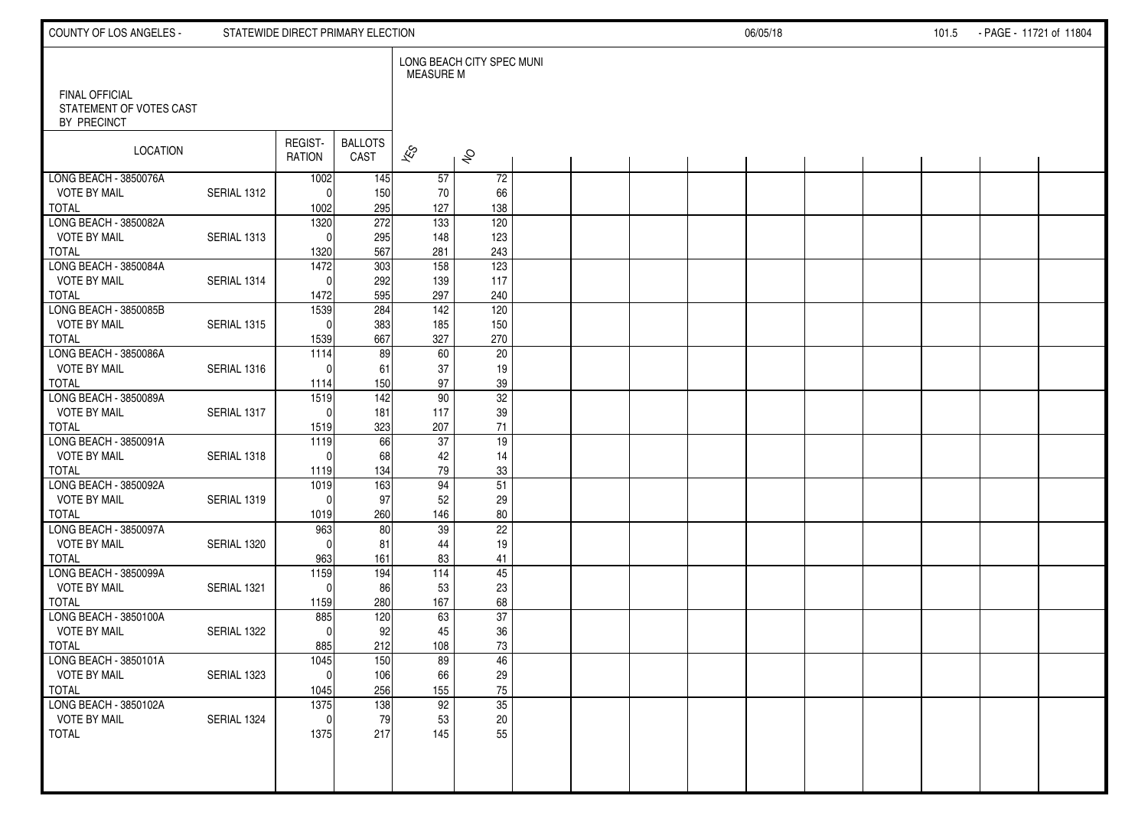| COUNTY OF LOS ANGELES -                          |             | STATEWIDE DIRECT PRIMARY ELECTION |                        |                          |                           |  |  | 06/05/18 |  | 101.5 | - PAGE - 11721 of 11804 |  |
|--------------------------------------------------|-------------|-----------------------------------|------------------------|--------------------------|---------------------------|--|--|----------|--|-------|-------------------------|--|
| <b>FINAL OFFICIAL</b><br>STATEMENT OF VOTES CAST |             |                                   |                        | <b>MEASURE M</b>         | LONG BEACH CITY SPEC MUNI |  |  |          |  |       |                         |  |
| BY PRECINCT                                      |             |                                   |                        |                          |                           |  |  |          |  |       |                         |  |
| LOCATION                                         |             | REGIST-<br><b>RATION</b>          | <b>BALLOTS</b><br>CAST | $\overline{\mathscr{K}}$ | $\hat{\mathcal{S}}$       |  |  |          |  |       |                         |  |
| LONG BEACH - 3850076A                            |             | 1002                              | 145                    | 57                       | 72                        |  |  |          |  |       |                         |  |
| <b>VOTE BY MAIL</b><br><b>TOTAL</b>              | SERIAL 1312 | $\Omega$<br>1002                  | 150<br>295             | 70<br>127                | 66<br>138                 |  |  |          |  |       |                         |  |
| LONG BEACH - 3850082A                            |             | 1320                              | 272                    | 133                      | 120                       |  |  |          |  |       |                         |  |
| <b>VOTE BY MAIL</b>                              | SERIAL 1313 | $\Omega$                          | 295                    | 148                      | 123                       |  |  |          |  |       |                         |  |
| <b>TOTAL</b>                                     |             | 1320                              | 567                    | 281                      | 243                       |  |  |          |  |       |                         |  |
| LONG BEACH - 3850084A                            |             | 1472                              | 303                    | 158                      | 123                       |  |  |          |  |       |                         |  |
| <b>VOTE BY MAIL</b>                              | SERIAL 1314 | $\Omega$                          | 292                    | 139                      | 117                       |  |  |          |  |       |                         |  |
| <b>TOTAL</b><br>LONG BEACH - 3850085B            |             | 1472<br>1539                      | 595<br>284             | 297<br>142               | 240<br>120                |  |  |          |  |       |                         |  |
| <b>VOTE BY MAIL</b>                              | SERIAL 1315 | $\mathbf{0}$                      | 383                    | 185                      | 150                       |  |  |          |  |       |                         |  |
| <b>TOTAL</b>                                     |             | 1539                              | 667                    | 327                      | 270                       |  |  |          |  |       |                         |  |
| LONG BEACH - 3850086A                            |             | 1114                              | 89                     | 60                       | $\overline{20}$           |  |  |          |  |       |                         |  |
| <b>VOTE BY MAIL</b>                              | SERIAL 1316 | $\Omega$                          | 61                     | 37                       | 19                        |  |  |          |  |       |                         |  |
| <b>TOTAL</b>                                     |             | 1114                              | 150                    | 97                       | 39                        |  |  |          |  |       |                         |  |
| LONG BEACH - 3850089A<br><b>VOTE BY MAIL</b>     | SERIAL 1317 | 1519<br>$\Omega$                  | 142<br>181             | 90<br>117                | 32<br>39                  |  |  |          |  |       |                         |  |
| <b>TOTAL</b>                                     |             | 1519                              | 323                    | 207                      | $71$                      |  |  |          |  |       |                         |  |
| LONG BEACH - 3850091A                            |             | 1119                              | 66                     | 37                       | 19                        |  |  |          |  |       |                         |  |
| <b>VOTE BY MAIL</b>                              | SERIAL 1318 | $\Omega$                          | 68                     | 42                       | 14                        |  |  |          |  |       |                         |  |
| <b>TOTAL</b>                                     |             | 1119                              | 134                    | 79                       | 33                        |  |  |          |  |       |                         |  |
| LONG BEACH - 3850092A                            |             | 1019                              | 163                    | 94                       | $\overline{51}$           |  |  |          |  |       |                         |  |
| <b>VOTE BY MAIL</b><br><b>TOTAL</b>              | SERIAL 1319 | $\Omega$<br>1019                  | 97<br>260              | 52<br>146                | 29<br>80                  |  |  |          |  |       |                         |  |
| LONG BEACH - 3850097A                            |             | 963                               | 80                     | 39                       | 22                        |  |  |          |  |       |                         |  |
| <b>VOTE BY MAIL</b>                              | SERIAL 1320 | $\Omega$                          | 81                     | 44                       | 19                        |  |  |          |  |       |                         |  |
| <b>TOTAL</b>                                     |             | 963                               | 161                    | 83                       | 41                        |  |  |          |  |       |                         |  |
| LONG BEACH - 3850099A                            |             | 1159                              | 194                    | 114                      | 45                        |  |  |          |  |       |                         |  |
| <b>VOTE BY MAIL</b>                              | SERIAL 1321 | $\mathbf{0}$                      | 86                     | 53                       | 23                        |  |  |          |  |       |                         |  |
| <b>TOTAL</b><br>LONG BEACH - 3850100A            |             | 1159<br>885                       | 280<br>120             | 167<br>63                | 68<br>$\overline{37}$     |  |  |          |  |       |                         |  |
| <b>VOTE BY MAIL</b>                              | SERIAL 1322 | $\Omega$                          | 92                     | 45                       | 36                        |  |  |          |  |       |                         |  |
| <b>TOTAL</b>                                     |             | 885                               | 212                    | 108                      | 73                        |  |  |          |  |       |                         |  |
| LONG BEACH - 3850101A                            |             | 1045                              | 150                    | 89                       | 46                        |  |  |          |  |       |                         |  |
| <b>VOTE BY MAIL</b>                              | SERIAL 1323 | 0                                 | 106                    | 66                       | $29\,$                    |  |  |          |  |       |                         |  |
| <b>TOTAL</b><br>LONG BEACH - 3850102A            |             | 1045                              | 256                    | 155<br>92                | 75<br>$\overline{35}$     |  |  |          |  |       |                         |  |
| <b>VOTE BY MAIL</b>                              | SERIAL 1324 | 1375<br>$\mathbf{0}$              | 138<br>79              | 53                       | $20\,$                    |  |  |          |  |       |                         |  |
| TOTAL                                            |             | 1375                              | 217                    | 145                      | 55                        |  |  |          |  |       |                         |  |
|                                                  |             |                                   |                        |                          |                           |  |  |          |  |       |                         |  |
|                                                  |             |                                   |                        |                          |                           |  |  |          |  |       |                         |  |
|                                                  |             |                                   |                        |                          |                           |  |  |          |  |       |                         |  |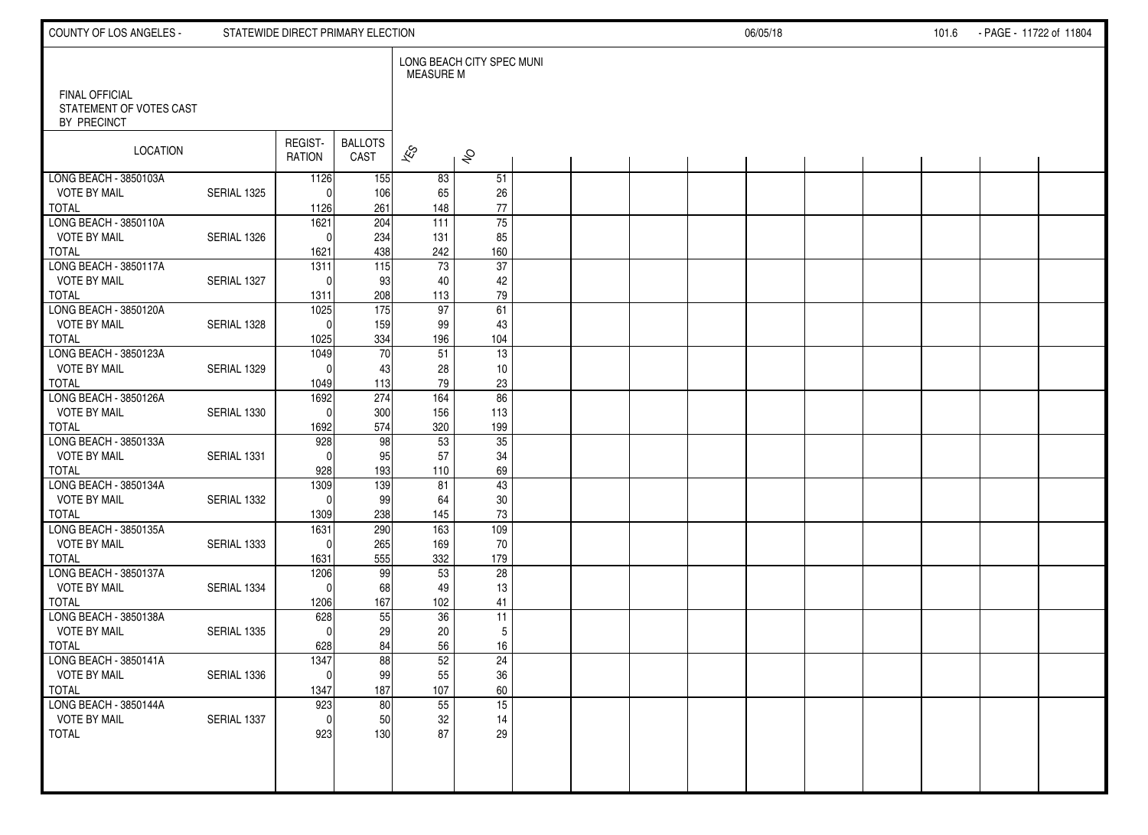| COUNTY OF LOS ANGELES -                                         |             | STATEWIDE DIRECT PRIMARY ELECTION        |                        |                             |                              |  |  | 06/05/18 |  | 101.6 | - PAGE - 11722 of 11804 |  |
|-----------------------------------------------------------------|-------------|------------------------------------------|------------------------|-----------------------------|------------------------------|--|--|----------|--|-------|-------------------------|--|
| <b>FINAL OFFICIAL</b><br>STATEMENT OF VOTES CAST<br>BY PRECINCT |             |                                          |                        | <b>MEASURE M</b>            | LONG BEACH CITY SPEC MUNI    |  |  |          |  |       |                         |  |
| LOCATION                                                        |             | REGIST-<br><b>RATION</b>                 | <b>BALLOTS</b><br>CAST | $\overline{\mathscr{K}}$    | $\hat{\mathcal{S}}$          |  |  |          |  |       |                         |  |
| LONG BEACH - 3850103A<br><b>VOTE BY MAIL</b><br><b>TOTAL</b>    | SERIAL 1325 | 1126<br>$\Omega$<br>1126                 | 155<br>106<br>261      | 83<br>65<br>148             | 51<br>26<br>$77\,$           |  |  |          |  |       |                         |  |
| LONG BEACH - 3850110A<br><b>VOTE BY MAIL</b><br><b>TOTAL</b>    | SERIAL 1326 | 1621<br>$\Omega$<br>1621                 | 204<br>234<br>438      | 111<br>131<br>242           | $\overline{75}$<br>85<br>160 |  |  |          |  |       |                         |  |
| LONG BEACH - 3850117A<br><b>VOTE BY MAIL</b><br><b>TOTAL</b>    | SERIAL 1327 | 1311<br>$\Omega$<br>1311                 | 115<br>93<br>208       | 73<br>40<br>113             | 37<br>42<br>79               |  |  |          |  |       |                         |  |
| LONG BEACH - 3850120A<br><b>VOTE BY MAIL</b><br><b>TOTAL</b>    | SERIAL 1328 | $\frac{1025}{2}$<br>$\mathbf{0}$<br>1025 | 175<br>159<br>334      | 97<br>99<br>196             | 61<br>43<br>104              |  |  |          |  |       |                         |  |
| LONG BEACH - 3850123A<br><b>VOTE BY MAIL</b><br><b>TOTAL</b>    | SERIAL 1329 | 1049<br>$\Omega$<br>1049                 | 70<br>43<br>113        | 51<br>28<br>79              | $\overline{13}$<br>10<br>23  |  |  |          |  |       |                         |  |
| LONG BEACH - 3850126A<br><b>VOTE BY MAIL</b><br><b>TOTAL</b>    | SERIAL 1330 | 1692<br>$\Omega$<br>1692                 | 274<br>300<br>574      | 164<br>156<br>320           | 86<br>113<br>199             |  |  |          |  |       |                         |  |
| LONG BEACH - 3850133A<br><b>VOTE BY MAIL</b><br><b>TOTAL</b>    | SERIAL 1331 | 928<br>$\Omega$<br>928                   | 98<br>95<br>193        | 53<br>57<br>110             | $\overline{35}$<br>34<br>69  |  |  |          |  |       |                         |  |
| LONG BEACH - 3850134A<br><b>VOTE BY MAIL</b><br><b>TOTAL</b>    | SERIAL 1332 | 1309<br>$\Omega$<br>1309                 | 139<br>99<br>238       | 81<br>64<br>145             | 43<br>$30\,$<br>73           |  |  |          |  |       |                         |  |
| LONG BEACH - 3850135A<br><b>VOTE BY MAIL</b><br><b>TOTAL</b>    | SERIAL 1333 | 1631<br>$\Omega$<br>1631                 | 290<br>265<br>555      | 163<br>169<br>332           | 109<br>70<br>179             |  |  |          |  |       |                         |  |
| LONG BEACH - 3850137A<br><b>VOTE BY MAIL</b><br><b>TOTAL</b>    | SERIAL 1334 | 1206<br>$\Omega$<br>1206                 | 99<br>68<br>167        | 53<br>49<br>102             | 28<br>13<br>41               |  |  |          |  |       |                         |  |
| LONG BEACH - 3850138A<br><b>VOTE BY MAIL</b><br><b>TOTAL</b>    | SERIAL 1335 | 628<br>$\Omega$<br>628                   | 55<br>29<br>84         | 36<br>20<br>56              | 11<br>5<br>16                |  |  |          |  |       |                         |  |
| LONG BEACH - 3850141A<br><b>VOTE BY MAIL</b><br><b>TOTAL</b>    | SERIAL 1336 | 1347<br> 0 <br>1347                      | 88<br>99<br>187        | 52<br>55<br>107             | 24<br>$36\,$<br>60           |  |  |          |  |       |                         |  |
| LONG BEACH - 3850144A<br><b>VOTE BY MAIL</b><br><b>TOTAL</b>    | SERIAL 1337 | 923<br>$\mathbf{0}$<br>923               | 80<br>50<br>130        | $\overline{55}$<br>32<br>87 | 15<br>14<br>29               |  |  |          |  |       |                         |  |
|                                                                 |             |                                          |                        |                             |                              |  |  |          |  |       |                         |  |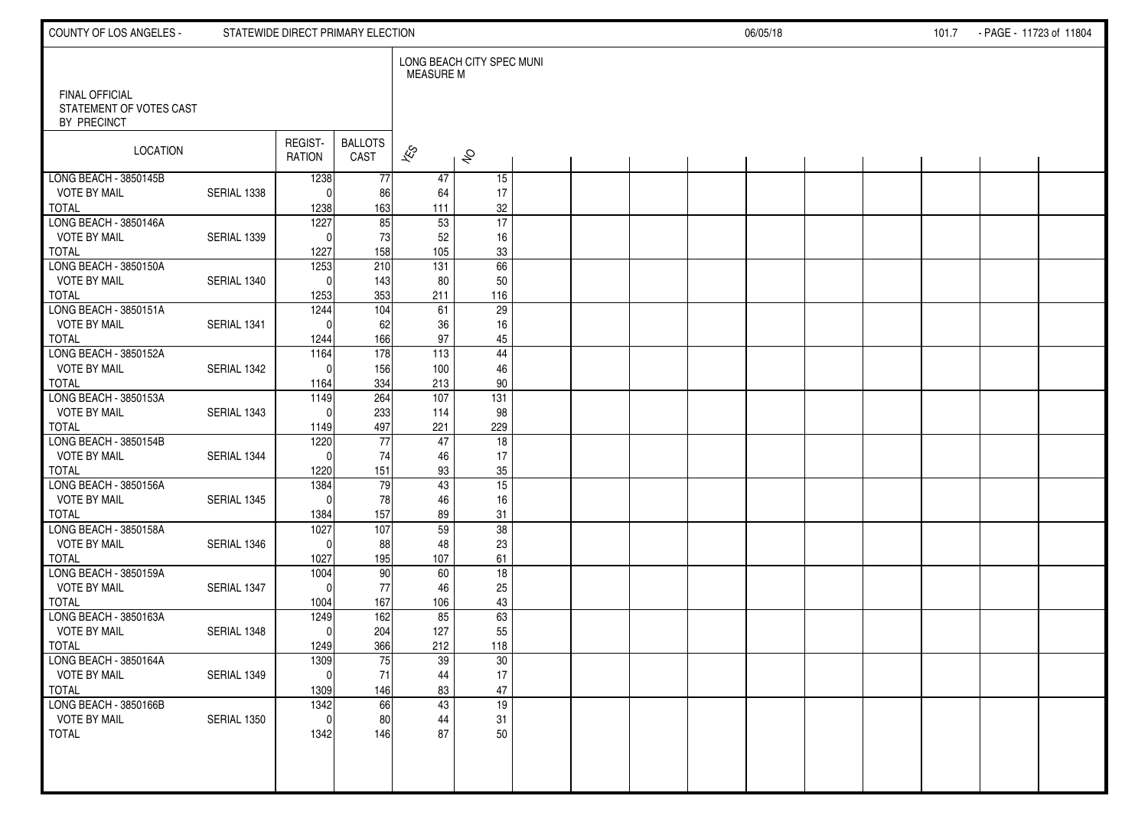| COUNTY OF LOS ANGELES -                      |             | STATEWIDE DIRECT PRIMARY ELECTION |                        |                          |                           |  |  | 06/05/18 |  | 101.7 | - PAGE - 11723 of 11804 |  |
|----------------------------------------------|-------------|-----------------------------------|------------------------|--------------------------|---------------------------|--|--|----------|--|-------|-------------------------|--|
| <b>FINAL OFFICIAL</b>                        |             |                                   |                        | <b>MEASURE M</b>         | LONG BEACH CITY SPEC MUNI |  |  |          |  |       |                         |  |
| STATEMENT OF VOTES CAST<br>BY PRECINCT       |             |                                   |                        |                          |                           |  |  |          |  |       |                         |  |
| LOCATION                                     |             | REGIST-<br><b>RATION</b>          | <b>BALLOTS</b><br>CAST | $\overline{\mathscr{K}}$ | $\hat{\mathcal{S}}$       |  |  |          |  |       |                         |  |
| LONG BEACH - 3850145B<br><b>VOTE BY MAIL</b> | SERIAL 1338 | 1238<br>$\Omega$                  | 77<br>86               | 47<br>64                 | 15<br>17                  |  |  |          |  |       |                         |  |
| <b>TOTAL</b>                                 |             | 1238                              | 163                    | 111                      | 32                        |  |  |          |  |       |                         |  |
| LONG BEACH - 3850146A                        |             | 1227                              | 85                     | 53                       | $\overline{17}$           |  |  |          |  |       |                         |  |
| <b>VOTE BY MAIL</b><br><b>TOTAL</b>          | SERIAL 1339 | $\Omega$<br>1227                  | 73<br>158              | 52<br>105                | 16<br>$33\,$              |  |  |          |  |       |                         |  |
| LONG BEACH - 3850150A                        |             | 1253                              | 210                    | 131                      | 66                        |  |  |          |  |       |                         |  |
| <b>VOTE BY MAIL</b>                          | SERIAL 1340 | $\Omega$                          | 143                    | 80                       | 50                        |  |  |          |  |       |                         |  |
| <b>TOTAL</b>                                 |             | 1253                              | 353                    | 211                      | 116                       |  |  |          |  |       |                         |  |
| LONG BEACH - 3850151A                        |             | 1244<br>$\Omega$                  | 104                    | 61                       | $\overline{29}$           |  |  |          |  |       |                         |  |
| <b>VOTE BY MAIL</b><br><b>TOTAL</b>          | SERIAL 1341 | 1244                              | 62<br>166              | 36<br>97                 | 16<br>45                  |  |  |          |  |       |                         |  |
| LONG BEACH - 3850152A                        |             | 1164                              | 178                    | 113                      | $\overline{44}$           |  |  |          |  |       |                         |  |
| <b>VOTE BY MAIL</b>                          | SERIAL 1342 | $\Omega$                          | 156                    | 100                      | 46                        |  |  |          |  |       |                         |  |
| <b>TOTAL</b>                                 |             | 1164                              | 334                    | 213                      | 90                        |  |  |          |  |       |                         |  |
| LONG BEACH - 3850153A<br><b>VOTE BY MAIL</b> | SERIAL 1343 | 1149<br>$\Omega$                  | 264<br>233             | 107<br>114               | $\overline{131}$<br>98    |  |  |          |  |       |                         |  |
| <b>TOTAL</b>                                 |             | 1149                              | 497                    | 221                      | 229                       |  |  |          |  |       |                         |  |
| LONG BEACH - 3850154B                        |             | 1220                              | 77                     | 47                       | 18                        |  |  |          |  |       |                         |  |
| <b>VOTE BY MAIL</b>                          | SERIAL 1344 | $\Omega$                          | 74                     | 46                       | 17                        |  |  |          |  |       |                         |  |
| <b>TOTAL</b>                                 |             | 1220                              | 151                    | 93                       | 35                        |  |  |          |  |       |                         |  |
| LONG BEACH - 3850156A<br><b>VOTE BY MAIL</b> | SERIAL 1345 | 1384<br>$\Omega$                  | 79<br>78               | 43<br>46                 | $\overline{15}$<br>16     |  |  |          |  |       |                         |  |
| <b>TOTAL</b>                                 |             | 1384                              | 157                    | 89                       | 31                        |  |  |          |  |       |                         |  |
| LONG BEACH - 3850158A                        |             | 1027                              | 107                    | 59                       | 38                        |  |  |          |  |       |                         |  |
| <b>VOTE BY MAIL</b>                          | SERIAL 1346 | $\Omega$                          | 88                     | 48                       | 23                        |  |  |          |  |       |                         |  |
| <b>TOTAL</b>                                 |             | 1027                              | 195                    | 107                      | 61                        |  |  |          |  |       |                         |  |
| LONG BEACH - 3850159A<br><b>VOTE BY MAIL</b> | SERIAL 1347 | 1004<br>$\Omega$                  | 90<br>$77\,$           | 60<br>46                 | 18<br>25                  |  |  |          |  |       |                         |  |
| <b>TOTAL</b>                                 |             | 1004                              | 167                    | 106                      | 43                        |  |  |          |  |       |                         |  |
| LONG BEACH - 3850163A                        |             | 1249                              | 162                    | 85                       | 63                        |  |  |          |  |       |                         |  |
| <b>VOTE BY MAIL</b>                          | SERIAL 1348 | $\mathbf{0}$                      | 204                    | 127                      | 55                        |  |  |          |  |       |                         |  |
| <b>TOTAL</b><br>LONG BEACH - 3850164A        |             | 1249<br>1309                      | 366<br>75              | 212<br>39                | 118<br>30                 |  |  |          |  |       |                         |  |
| <b>VOTE BY MAIL</b>                          | SERIAL 1349 | -01                               | 71                     | 44                       | 17                        |  |  |          |  |       |                         |  |
| <b>TOTAL</b>                                 |             | 1309                              | 146                    | 83                       | 47                        |  |  |          |  |       |                         |  |
| LONG BEACH - 3850166B                        |             | 1342                              | 66                     | 43                       | 19                        |  |  |          |  |       |                         |  |
| <b>VOTE BY MAIL</b>                          | SERIAL 1350 | $\mathbf{0}$                      | 80                     | 44                       | 31                        |  |  |          |  |       |                         |  |
| TOTAL                                        |             | 1342                              | 146                    | 87                       | 50                        |  |  |          |  |       |                         |  |
|                                              |             |                                   |                        |                          |                           |  |  |          |  |       |                         |  |
|                                              |             |                                   |                        |                          |                           |  |  |          |  |       |                         |  |
|                                              |             |                                   |                        |                          |                           |  |  |          |  |       |                         |  |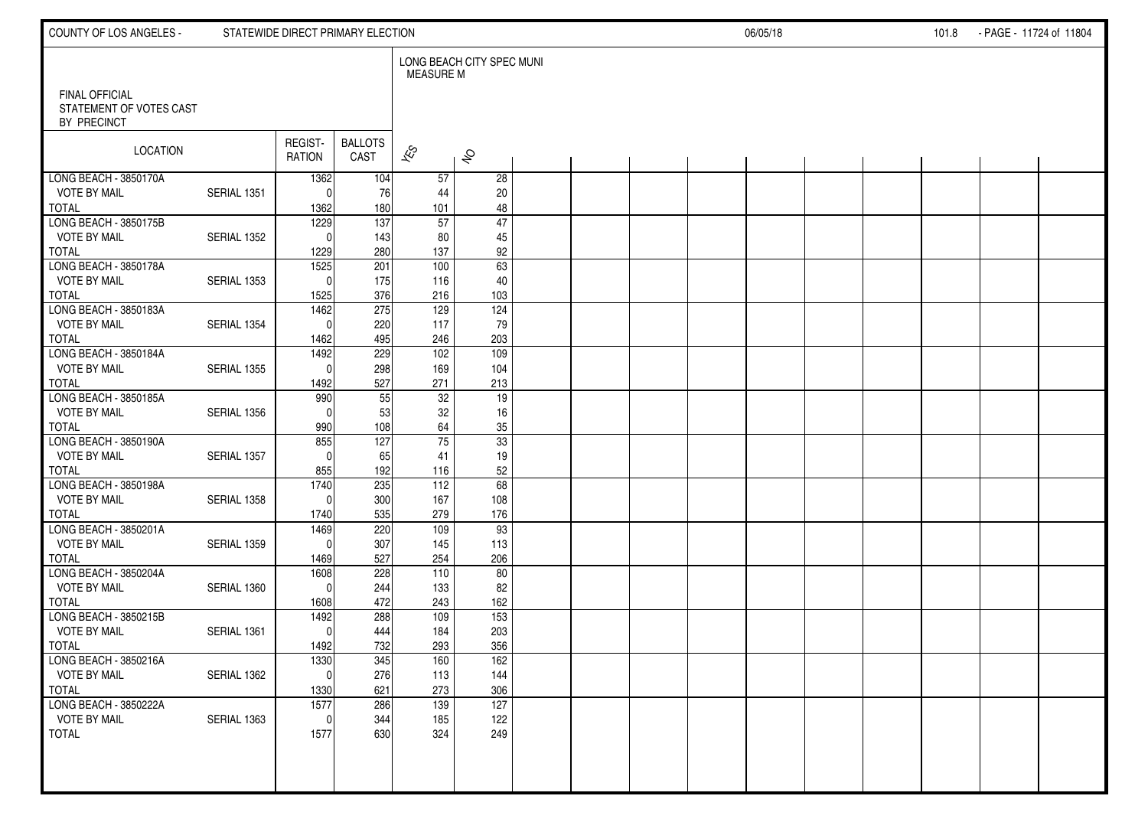| COUNTY OF LOS ANGELES -                          |             | STATEWIDE DIRECT PRIMARY ELECTION |                        |                          |                           |  |  | 06/05/18 |  | 101.8 | - PAGE - 11724 of 11804 |  |
|--------------------------------------------------|-------------|-----------------------------------|------------------------|--------------------------|---------------------------|--|--|----------|--|-------|-------------------------|--|
| <b>FINAL OFFICIAL</b><br>STATEMENT OF VOTES CAST |             |                                   |                        | MEASURE M                | LONG BEACH CITY SPEC MUNI |  |  |          |  |       |                         |  |
| BY PRECINCT                                      |             |                                   |                        |                          |                           |  |  |          |  |       |                         |  |
| LOCATION                                         |             | REGIST-<br><b>RATION</b>          | <b>BALLOTS</b><br>CAST | $\overline{\mathscr{K}}$ | $\hat{\mathcal{S}}$       |  |  |          |  |       |                         |  |
| LONG BEACH - 3850170A                            |             | 1362                              | 104                    | 57                       | $\overline{28}$           |  |  |          |  |       |                         |  |
| <b>VOTE BY MAIL</b><br><b>TOTAL</b>              | SERIAL 1351 | $\Omega$<br>1362                  | 76<br>180              | 44<br>101                | 20<br>48                  |  |  |          |  |       |                         |  |
| LONG BEACH - 3850175B                            |             | 1229                              | $\overline{137}$       | 57                       | 47                        |  |  |          |  |       |                         |  |
| <b>VOTE BY MAIL</b>                              | SERIAL 1352 | $\Omega$                          | 143                    | 80                       | 45                        |  |  |          |  |       |                         |  |
| <b>TOTAL</b>                                     |             | 1229                              | 280                    | 137                      | 92                        |  |  |          |  |       |                         |  |
| LONG BEACH - 3850178A<br><b>VOTE BY MAIL</b>     | SERIAL 1353 | 1525<br>$\Omega$                  | 201<br>175             | 100<br>116               | 63<br>40                  |  |  |          |  |       |                         |  |
| <b>TOTAL</b>                                     |             | 1525                              | 376                    | 216                      | 103                       |  |  |          |  |       |                         |  |
| LONG BEACH - 3850183A                            |             | 1462                              | 275                    | 129                      | 124                       |  |  |          |  |       |                         |  |
| <b>VOTE BY MAIL</b>                              | SERIAL 1354 | $\mathbf{0}$                      | 220                    | 117                      | 79                        |  |  |          |  |       |                         |  |
| <b>TOTAL</b><br>LONG BEACH - 3850184A            |             | 1462<br>1492                      | 495<br>229             | 246                      | 203<br>$\overline{109}$   |  |  |          |  |       |                         |  |
| <b>VOTE BY MAIL</b>                              | SERIAL 1355 | $\Omega$                          | 298                    | 102<br>169               | 104                       |  |  |          |  |       |                         |  |
| <b>TOTAL</b>                                     |             | 1492                              | 527                    | 271                      | 213                       |  |  |          |  |       |                         |  |
| LONG BEACH - 3850185A                            |             | 990                               | 55                     | 32                       | 19                        |  |  |          |  |       |                         |  |
| <b>VOTE BY MAIL</b>                              | SERIAL 1356 | $\Omega$                          | 53                     | 32                       | 16                        |  |  |          |  |       |                         |  |
| <b>TOTAL</b><br>LONG BEACH - 3850190A            |             | 990<br>855                        | 108<br>127             | 64<br>$\overline{75}$    | $35\,$<br>$\overline{33}$ |  |  |          |  |       |                         |  |
| <b>VOTE BY MAIL</b>                              | SERIAL 1357 | $\Omega$                          | 65                     | 41                       | 19                        |  |  |          |  |       |                         |  |
| <b>TOTAL</b>                                     |             | 855                               | 192                    | 116                      | 52                        |  |  |          |  |       |                         |  |
| LONG BEACH - 3850198A                            |             | 1740                              | 235                    | 112                      | 68                        |  |  |          |  |       |                         |  |
| <b>VOTE BY MAIL</b>                              | SERIAL 1358 | $\Omega$                          | 300                    | 167                      | 108                       |  |  |          |  |       |                         |  |
| <b>TOTAL</b><br>LONG BEACH - 3850201A            |             | 1740<br>1469                      | 535<br>220             | 279<br>109               | 176<br>93                 |  |  |          |  |       |                         |  |
| <b>VOTE BY MAIL</b>                              | SERIAL 1359 | $\Omega$                          | 307                    | 145                      | 113                       |  |  |          |  |       |                         |  |
| <b>TOTAL</b>                                     |             | 1469                              | 527                    | 254                      | 206                       |  |  |          |  |       |                         |  |
| LONG BEACH - 3850204A                            |             | 1608                              | 228                    | 110                      | 80                        |  |  |          |  |       |                         |  |
| <b>VOTE BY MAIL</b>                              | SERIAL 1360 | $\mathbf{0}$                      | 244                    | 133                      | 82                        |  |  |          |  |       |                         |  |
| <b>TOTAL</b><br>LONG BEACH - 3850215B            |             | 1608<br>1492                      | 472<br>288             | 243<br>109               | 162<br>$\overline{153}$   |  |  |          |  |       |                         |  |
| <b>VOTE BY MAIL</b>                              | SERIAL 1361 | $\mathbf{0}$                      | 444                    | 184                      | 203                       |  |  |          |  |       |                         |  |
| <b>TOTAL</b>                                     |             | 1492                              | 732                    | 293                      | 356                       |  |  |          |  |       |                         |  |
| LONG BEACH - 3850216A                            |             | 1330                              | 345                    | 160                      | 162                       |  |  |          |  |       |                         |  |
| <b>VOTE BY MAIL</b>                              | SERIAL 1362 | 0                                 | 276                    | 113                      | 144                       |  |  |          |  |       |                         |  |
| <b>TOTAL</b><br>LONG BEACH - 3850222A            |             | 1330<br>1577                      | 621<br>286             | 273<br>139               | 306<br>127                |  |  |          |  |       |                         |  |
| <b>VOTE BY MAIL</b>                              | SERIAL 1363 | $\mathbf{0}$                      | 344                    | 185                      | 122                       |  |  |          |  |       |                         |  |
| TOTAL                                            |             | 1577                              | 630                    | 324                      | 249                       |  |  |          |  |       |                         |  |
|                                                  |             |                                   |                        |                          |                           |  |  |          |  |       |                         |  |
|                                                  |             |                                   |                        |                          |                           |  |  |          |  |       |                         |  |
|                                                  |             |                                   |                        |                          |                           |  |  |          |  |       |                         |  |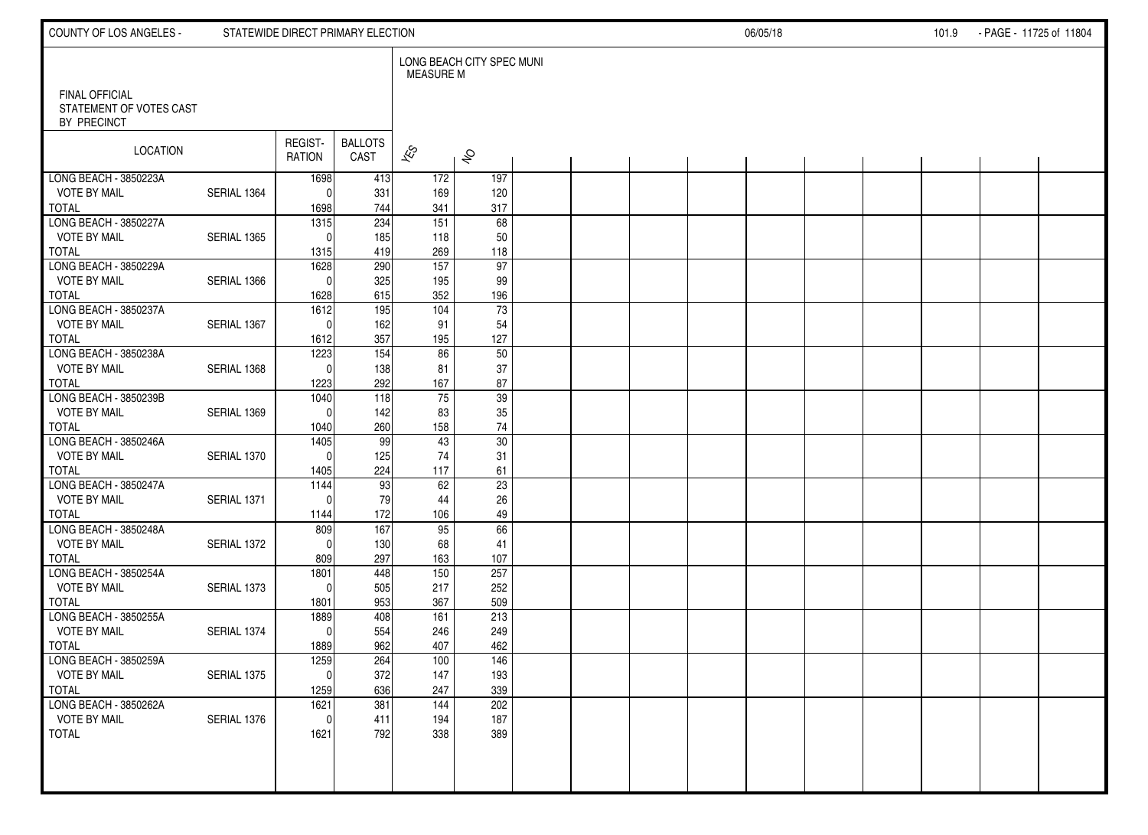| COUNTY OF LOS ANGELES -                          |             | STATEWIDE DIRECT PRIMARY ELECTION |                        |                          |                           |  |  | 06/05/18 |  | 101.9 | - PAGE - 11725 of 11804 |  |
|--------------------------------------------------|-------------|-----------------------------------|------------------------|--------------------------|---------------------------|--|--|----------|--|-------|-------------------------|--|
| <b>FINAL OFFICIAL</b><br>STATEMENT OF VOTES CAST |             |                                   |                        | MEASURE M                | LONG BEACH CITY SPEC MUNI |  |  |          |  |       |                         |  |
| BY PRECINCT                                      |             |                                   |                        |                          |                           |  |  |          |  |       |                         |  |
| LOCATION                                         |             | REGIST-<br><b>RATION</b>          | <b>BALLOTS</b><br>CAST | $\overline{\mathscr{K}}$ | $\hat{\mathcal{S}}$       |  |  |          |  |       |                         |  |
| LONG BEACH - 3850223A                            |             | 1698                              | 413                    | 172                      | 197                       |  |  |          |  |       |                         |  |
| <b>VOTE BY MAIL</b>                              | SERIAL 1364 | $\mathbf{0}$                      | 331                    | 169                      | 120                       |  |  |          |  |       |                         |  |
| <b>TOTAL</b><br>LONG BEACH - 3850227A            |             | 1698<br>$\overline{1315}$         | 744<br>234             | 341<br>151               | 317<br>68                 |  |  |          |  |       |                         |  |
| <b>VOTE BY MAIL</b>                              | SERIAL 1365 | $\Omega$                          | 185                    | 118                      | 50                        |  |  |          |  |       |                         |  |
| <b>TOTAL</b>                                     |             | 1315                              | 419                    | 269                      | 118                       |  |  |          |  |       |                         |  |
| LONG BEACH - 3850229A                            |             | 1628                              | 290                    | $\overline{157}$         | 97                        |  |  |          |  |       |                         |  |
| <b>VOTE BY MAIL</b>                              | SERIAL 1366 | $\Omega$                          | 325                    | 195                      | 99                        |  |  |          |  |       |                         |  |
| <b>TOTAL</b>                                     |             | 1628                              | 615                    | 352                      | 196                       |  |  |          |  |       |                         |  |
| LONG BEACH - 3850237A                            |             | $\frac{1612}{ }$                  | 195                    | 104                      | 73                        |  |  |          |  |       |                         |  |
| <b>VOTE BY MAIL</b><br><b>TOTAL</b>              | SERIAL 1367 | $\mathbf{0}$<br>1612              | 162<br>357             | 91<br>195                | 54<br>127                 |  |  |          |  |       |                         |  |
| LONG BEACH - 3850238A                            |             | 1223                              | 154                    | 86                       | 50                        |  |  |          |  |       |                         |  |
| <b>VOTE BY MAIL</b>                              | SERIAL 1368 | $\Omega$                          | 138                    | 81                       | 37                        |  |  |          |  |       |                         |  |
| <b>TOTAL</b>                                     |             | 1223                              | 292                    | 167                      | 87                        |  |  |          |  |       |                         |  |
| LONG BEACH - 3850239B                            |             | 1040                              | 118                    | 75                       | 39                        |  |  |          |  |       |                         |  |
| <b>VOTE BY MAIL</b>                              | SERIAL 1369 | $\Omega$                          | 142                    | 83                       | 35                        |  |  |          |  |       |                         |  |
| <b>TOTAL</b>                                     |             | 1040                              | 260                    | 158                      | 74                        |  |  |          |  |       |                         |  |
| LONG BEACH - 3850246A                            |             | 1405                              | 99                     | 43                       | 30                        |  |  |          |  |       |                         |  |
| <b>VOTE BY MAIL</b><br><b>TOTAL</b>              | SERIAL 1370 | $\Omega$                          | 125<br>224             | 74<br>117                | 31                        |  |  |          |  |       |                         |  |
| LONG BEACH - 3850247A                            |             | 1405<br>1144                      | 93                     | 62                       | 61<br>23                  |  |  |          |  |       |                         |  |
| <b>VOTE BY MAIL</b>                              | SERIAL 1371 | $\Omega$                          | 79                     | 44                       | 26                        |  |  |          |  |       |                         |  |
| <b>TOTAL</b>                                     |             | 1144                              | 172                    | 106                      | 49                        |  |  |          |  |       |                         |  |
| LONG BEACH - 3850248A                            |             | 809                               | 167                    | 95                       | 66                        |  |  |          |  |       |                         |  |
| <b>VOTE BY MAIL</b>                              | SERIAL 1372 | $\Omega$                          | 130                    | 68                       | 41                        |  |  |          |  |       |                         |  |
| <b>TOTAL</b>                                     |             | 809                               | 297                    | 163                      | 107                       |  |  |          |  |       |                         |  |
| LONG BEACH - 3850254A                            |             | 1801                              | 448                    | 150                      | 257                       |  |  |          |  |       |                         |  |
| <b>VOTE BY MAIL</b>                              | SERIAL 1373 | $\mathbf{0}$                      | 505                    | 217                      | 252                       |  |  |          |  |       |                         |  |
| <b>TOTAL</b><br>LONG BEACH - 3850255A            |             | 1801<br>1889                      | 953<br>408             | 367<br>161               | 509<br>213                |  |  |          |  |       |                         |  |
| <b>VOTE BY MAIL</b>                              | SERIAL 1374 | $\mathbf{0}$                      | 554                    | 246                      | 249                       |  |  |          |  |       |                         |  |
| <b>TOTAL</b>                                     |             | 1889                              | 962                    | 407                      | 462                       |  |  |          |  |       |                         |  |
| LONG BEACH - 3850259A                            |             | 1259                              | 264                    | 100                      | 146                       |  |  |          |  |       |                         |  |
| <b>VOTE BY MAIL</b>                              | SERIAL 1375 | 0                                 | 372                    | 147                      | 193                       |  |  |          |  |       |                         |  |
| <b>TOTAL</b>                                     |             | 1259                              | 636                    | 247                      | 339                       |  |  |          |  |       |                         |  |
| LONG BEACH - 3850262A                            |             | $\frac{1621}{ }$                  | 381                    | 144                      | 202                       |  |  |          |  |       |                         |  |
| <b>VOTE BY MAIL</b>                              | SERIAL 1376 | $\mathbf{0}$                      | 411                    | 194                      | 187                       |  |  |          |  |       |                         |  |
| TOTAL                                            |             | 1621                              | 792                    | 338                      | 389                       |  |  |          |  |       |                         |  |
|                                                  |             |                                   |                        |                          |                           |  |  |          |  |       |                         |  |
|                                                  |             |                                   |                        |                          |                           |  |  |          |  |       |                         |  |
|                                                  |             |                                   |                        |                          |                           |  |  |          |  |       |                         |  |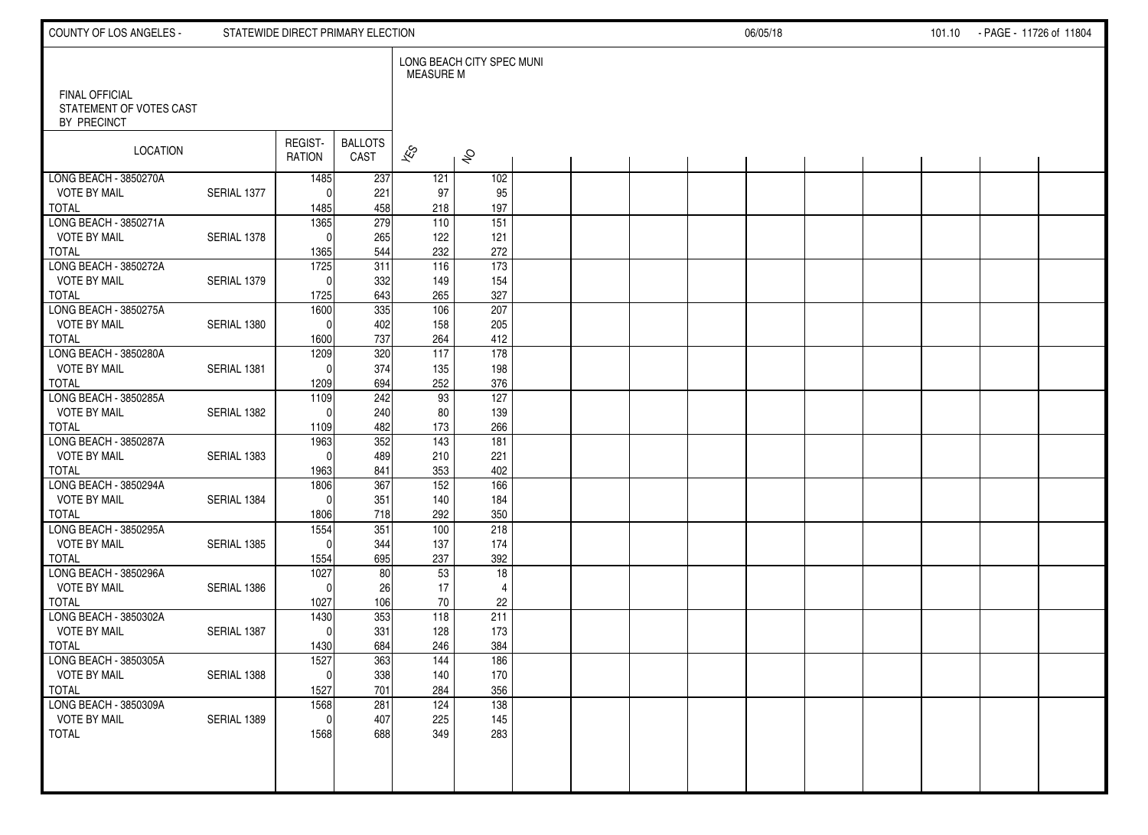| COUNTY OF LOS ANGELES -                          |             | STATEWIDE DIRECT PRIMARY ELECTION |                        |                          |                           |  |  | 06/05/18 |  | 101.10 - PAGE - 11726 of 11804 |  |
|--------------------------------------------------|-------------|-----------------------------------|------------------------|--------------------------|---------------------------|--|--|----------|--|--------------------------------|--|
| <b>FINAL OFFICIAL</b><br>STATEMENT OF VOTES CAST |             |                                   |                        | MEASURE M                | LONG BEACH CITY SPEC MUNI |  |  |          |  |                                |  |
| BY PRECINCT                                      |             |                                   |                        |                          |                           |  |  |          |  |                                |  |
| LOCATION                                         |             | REGIST-<br><b>RATION</b>          | <b>BALLOTS</b><br>CAST | $\overline{\mathscr{K}}$ | $\hat{\mathcal{S}}$       |  |  |          |  |                                |  |
| LONG BEACH - 3850270A<br><b>VOTE BY MAIL</b>     | SERIAL 1377 | 1485                              | 237                    | 121                      | 102                       |  |  |          |  |                                |  |
| <b>TOTAL</b>                                     |             | $\Omega$<br>1485                  | 221<br>458             | 97<br>218                | 95<br>197                 |  |  |          |  |                                |  |
| LONG BEACH - 3850271A                            |             | 1365                              | 279                    | 110                      | 151                       |  |  |          |  |                                |  |
| <b>VOTE BY MAIL</b>                              | SERIAL 1378 | $\Omega$                          | 265                    | 122                      | 121                       |  |  |          |  |                                |  |
| <b>TOTAL</b>                                     |             | 1365                              | 544                    | 232                      | 272                       |  |  |          |  |                                |  |
| LONG BEACH - 3850272A<br><b>VOTE BY MAIL</b>     | SERIAL 1379 | 1725<br>$\Omega$                  | 311<br>332             | 116<br>149               | $\frac{1}{173}$<br>154    |  |  |          |  |                                |  |
| <b>TOTAL</b>                                     |             | 1725                              | 643                    | 265                      | 327                       |  |  |          |  |                                |  |
| LONG BEACH - 3850275A                            |             | 1600                              | 335                    | 106                      | 207                       |  |  |          |  |                                |  |
| <b>VOTE BY MAIL</b>                              | SERIAL 1380 | $\mathbf{0}$                      | 402                    | 158                      | 205                       |  |  |          |  |                                |  |
| <b>TOTAL</b>                                     |             | 1600                              | 737                    | 264                      | 412                       |  |  |          |  |                                |  |
| LONG BEACH - 3850280A                            |             | 1209                              | 320                    | $\frac{117}{117}$        | $\frac{1}{178}$           |  |  |          |  |                                |  |
| <b>VOTE BY MAIL</b><br><b>TOTAL</b>              | SERIAL 1381 | $\Omega$<br>1209                  | 374<br>694             | 135<br>252               | 198<br>376                |  |  |          |  |                                |  |
| LONG BEACH - 3850285A                            |             | 1109                              | 242                    | 93                       | 127                       |  |  |          |  |                                |  |
| <b>VOTE BY MAIL</b>                              | SERIAL 1382 | $\Omega$                          | 240                    | 80                       | 139                       |  |  |          |  |                                |  |
| <b>TOTAL</b>                                     |             | 1109                              | 482                    | 173                      | 266                       |  |  |          |  |                                |  |
| LONG BEACH - 3850287A                            |             | 1963                              | 352                    | 143                      | $\overline{181}$          |  |  |          |  |                                |  |
| <b>VOTE BY MAIL</b>                              | SERIAL 1383 | $\Omega$                          | 489                    | 210                      | 221                       |  |  |          |  |                                |  |
| <b>TOTAL</b><br>LONG BEACH - 3850294A            |             | 1963<br>1806                      | 841<br>367             | 353<br>152               | 402<br>166                |  |  |          |  |                                |  |
| <b>VOTE BY MAIL</b>                              | SERIAL 1384 | $\Omega$                          | 351                    | 140                      | 184                       |  |  |          |  |                                |  |
| <b>TOTAL</b>                                     |             | 1806                              | 718                    | 292                      | 350                       |  |  |          |  |                                |  |
| LONG BEACH - 3850295A                            |             | 1554                              | 351                    | 100                      | 218                       |  |  |          |  |                                |  |
| <b>VOTE BY MAIL</b>                              | SERIAL 1385 | $\Omega$                          | 344                    | 137                      | 174                       |  |  |          |  |                                |  |
| <b>TOTAL</b><br>LONG BEACH - 3850296A            |             | 1554<br>1027                      | 695<br>80              | 237<br>53                | 392<br>$\overline{18}$    |  |  |          |  |                                |  |
| <b>VOTE BY MAIL</b>                              | SERIAL 1386 | $\Omega$                          | 26                     | 17                       | $\overline{4}$            |  |  |          |  |                                |  |
| <b>TOTAL</b>                                     |             | 1027                              | 106                    | 70                       | 22                        |  |  |          |  |                                |  |
| LONG BEACH - 3850302A                            |             | 1430                              | 353                    | $\frac{118}{118}$        | 211                       |  |  |          |  |                                |  |
| <b>VOTE BY MAIL</b>                              | SERIAL 1387 | $\mathbf{0}$                      | 331                    | 128                      | 173                       |  |  |          |  |                                |  |
| <b>TOTAL</b>                                     |             | 1430                              | 684                    | 246                      | 384                       |  |  |          |  |                                |  |
| LONG BEACH - 3850305A<br><b>VOTE BY MAIL</b>     | SERIAL 1388 | 1527                              | 363<br>338             | 144<br>140               | 186<br>170                |  |  |          |  |                                |  |
| <b>TOTAL</b>                                     |             | 0<br>1527                         | 701                    | 284                      | 356                       |  |  |          |  |                                |  |
| LONG BEACH - 3850309A                            |             | 1568                              | 281                    | 124                      | 138                       |  |  |          |  |                                |  |
| <b>VOTE BY MAIL</b>                              | SERIAL 1389 | $\mathbf{0}$                      | 407                    | 225                      | 145                       |  |  |          |  |                                |  |
| TOTAL                                            |             | 1568                              | 688                    | 349                      | 283                       |  |  |          |  |                                |  |
|                                                  |             |                                   |                        |                          |                           |  |  |          |  |                                |  |
|                                                  |             |                                   |                        |                          |                           |  |  |          |  |                                |  |
|                                                  |             |                                   |                        |                          |                           |  |  |          |  |                                |  |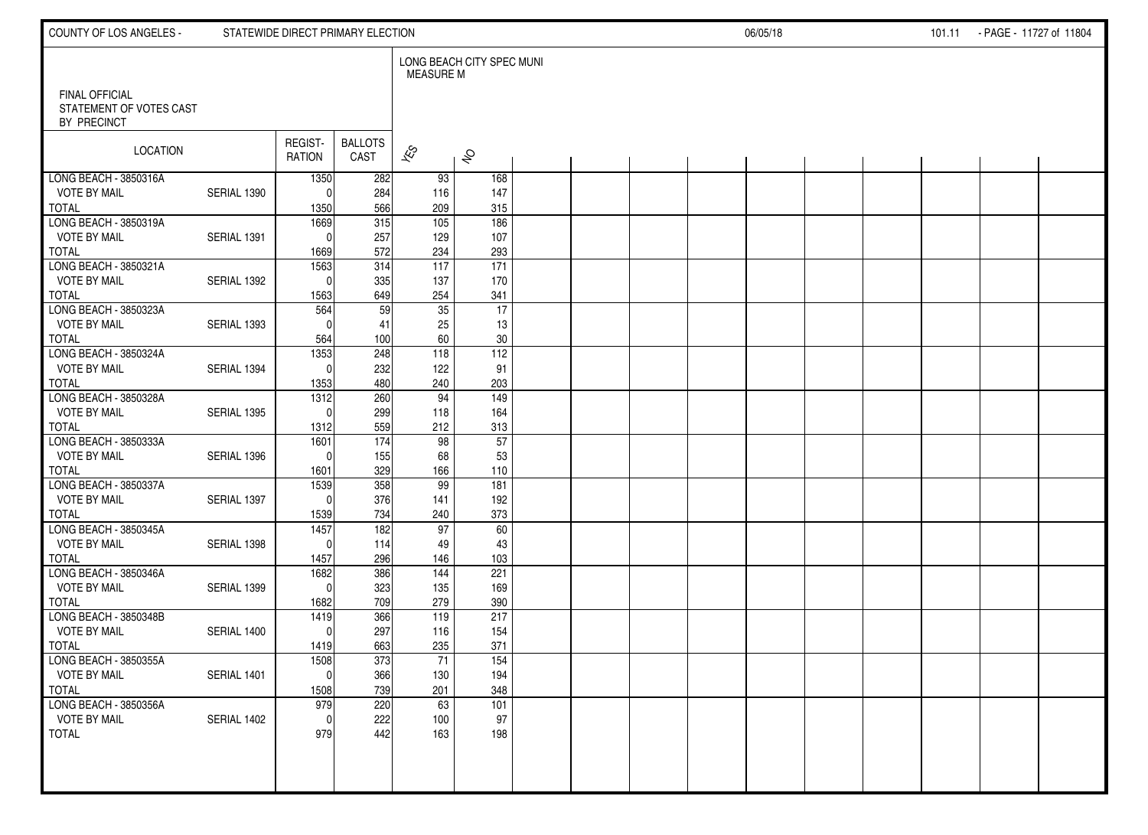| COUNTY OF LOS ANGELES -                          |             | STATEWIDE DIRECT PRIMARY ELECTION |                         |                          |                            |  |  | 06/05/18 |  | 101.11 - PAGE - 11727 of 11804 |  |
|--------------------------------------------------|-------------|-----------------------------------|-------------------------|--------------------------|----------------------------|--|--|----------|--|--------------------------------|--|
| <b>FINAL OFFICIAL</b><br>STATEMENT OF VOTES CAST |             |                                   |                         | MEASURE M                | LONG BEACH CITY SPEC MUNI  |  |  |          |  |                                |  |
| BY PRECINCT                                      |             |                                   |                         |                          |                            |  |  |          |  |                                |  |
| LOCATION                                         |             | REGIST-<br><b>RATION</b>          | <b>BALLOTS</b><br>CAST  | $\overline{\mathscr{K}}$ | $\hat{\mathcal{S}}$        |  |  |          |  |                                |  |
| LONG BEACH - 3850316A                            |             | 1350                              | 282                     | 93                       | 168                        |  |  |          |  |                                |  |
| <b>VOTE BY MAIL</b><br><b>TOTAL</b>              | SERIAL 1390 | $\Omega$<br>1350                  | 284<br>566              | 116<br>209               | 147<br>315                 |  |  |          |  |                                |  |
| LONG BEACH - 3850319A                            |             | 1669                              | 315                     | 105                      | 186                        |  |  |          |  |                                |  |
| <b>VOTE BY MAIL</b>                              | SERIAL 1391 | $\mathbf{0}$                      | 257                     | 129                      | 107                        |  |  |          |  |                                |  |
| <b>TOTAL</b>                                     |             | 1669                              | 572                     | 234                      | 293                        |  |  |          |  |                                |  |
| LONG BEACH - 3850321A<br><b>VOTE BY MAIL</b>     | SERIAL 1392 | 1563<br>$\Omega$                  | 314<br>335              | 117<br>137               | 171<br>170                 |  |  |          |  |                                |  |
| <b>TOTAL</b>                                     |             | 1563                              | 649                     | 254                      | 341                        |  |  |          |  |                                |  |
| LONG BEACH - 3850323A                            |             | 564                               | 59                      | 35                       | 17                         |  |  |          |  |                                |  |
| <b>VOTE BY MAIL</b>                              | SERIAL 1393 | $\Omega$                          | 41                      | 25                       | 13                         |  |  |          |  |                                |  |
| <b>TOTAL</b><br>LONG BEACH - 3850324A            |             | 564<br>1353                       | 100<br>248              | 60<br>$\overline{118}$   | $30\,$<br>$\overline{112}$ |  |  |          |  |                                |  |
| <b>VOTE BY MAIL</b>                              | SERIAL 1394 | $\Omega$                          | 232                     | 122                      | 91                         |  |  |          |  |                                |  |
| <b>TOTAL</b>                                     |             | 1353                              | 480                     | 240                      | 203                        |  |  |          |  |                                |  |
| LONG BEACH - 3850328A                            |             | 1312                              | 260                     | 94                       | 149                        |  |  |          |  |                                |  |
| <b>VOTE BY MAIL</b>                              | SERIAL 1395 | $\Omega$                          | 299                     | 118                      | 164                        |  |  |          |  |                                |  |
| <b>TOTAL</b><br>LONG BEACH - 3850333A            |             | 1312<br>1601                      | 559<br>$\overline{174}$ | 212<br>98                | 313<br>57                  |  |  |          |  |                                |  |
| <b>VOTE BY MAIL</b>                              | SERIAL 1396 | $\Omega$                          | 155                     | 68                       | 53                         |  |  |          |  |                                |  |
| <b>TOTAL</b>                                     |             | 1601                              | 329                     | 166                      | 110                        |  |  |          |  |                                |  |
| LONG BEACH - 3850337A                            |             | 1539                              | 358                     | 99                       | 181                        |  |  |          |  |                                |  |
| <b>VOTE BY MAIL</b>                              | SERIAL 1397 | $\Omega$                          | 376                     | 141                      | 192                        |  |  |          |  |                                |  |
| <b>TOTAL</b><br>LONG BEACH - 3850345A            |             | 1539<br>1457                      | 734<br>182              | 240<br>97                | 373<br>60                  |  |  |          |  |                                |  |
| <b>VOTE BY MAIL</b>                              | SERIAL 1398 | $\Omega$                          | 114                     | 49                       | 43                         |  |  |          |  |                                |  |
| <b>TOTAL</b>                                     |             | 1457                              | 296                     | 146                      | 103                        |  |  |          |  |                                |  |
| LONG BEACH - 3850346A                            |             | 1682                              | 386                     | 144                      | 221                        |  |  |          |  |                                |  |
| <b>VOTE BY MAIL</b><br><b>TOTAL</b>              | SERIAL 1399 | $\mathbf{0}$<br>1682              | 323<br>709              | 135<br>279               | 169<br>390                 |  |  |          |  |                                |  |
| LONG BEACH - 3850348B                            |             | 1419                              | 366                     | 119                      | 217                        |  |  |          |  |                                |  |
| <b>VOTE BY MAIL</b>                              | SERIAL 1400 | $\mathbf{0}$                      | 297                     | 116                      | 154                        |  |  |          |  |                                |  |
| <b>TOTAL</b>                                     |             | 1419                              | 663                     | 235                      | 371                        |  |  |          |  |                                |  |
| LONG BEACH - 3850355A                            |             | 1508                              | 373                     | 71                       | 154                        |  |  |          |  |                                |  |
| <b>VOTE BY MAIL</b><br><b>TOTAL</b>              | SERIAL 1401 | 0<br>1508                         | 366<br>739              | 130<br>201               | 194<br>348                 |  |  |          |  |                                |  |
| LONG BEACH - 3850356A                            |             | 979                               | 220                     | 63                       | 101                        |  |  |          |  |                                |  |
| <b>VOTE BY MAIL</b>                              | SERIAL 1402 | $\mathbf{0}$                      | 222                     | 100                      | 97                         |  |  |          |  |                                |  |
| TOTAL                                            |             | 979                               | 442                     | 163                      | 198                        |  |  |          |  |                                |  |
|                                                  |             |                                   |                         |                          |                            |  |  |          |  |                                |  |
|                                                  |             |                                   |                         |                          |                            |  |  |          |  |                                |  |
|                                                  |             |                                   |                         |                          |                            |  |  |          |  |                                |  |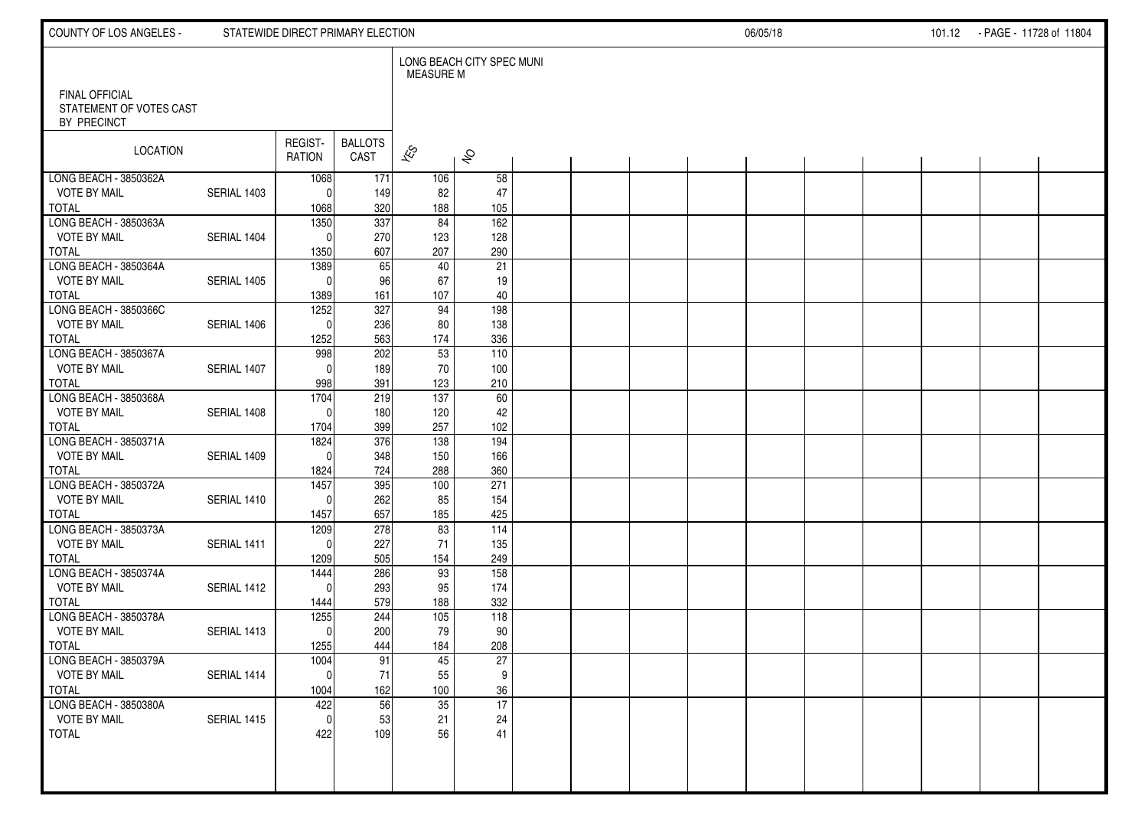| COUNTY OF LOS ANGELES -                          |             | STATEWIDE DIRECT PRIMARY ELECTION |                |                          |                           |  |  | 06/05/18 |  | 101.12 - PAGE - 11728 of 11804 |  |
|--------------------------------------------------|-------------|-----------------------------------|----------------|--------------------------|---------------------------|--|--|----------|--|--------------------------------|--|
| <b>FINAL OFFICIAL</b><br>STATEMENT OF VOTES CAST |             |                                   |                | <b>MEASURE M</b>         | LONG BEACH CITY SPEC MUNI |  |  |          |  |                                |  |
| BY PRECINCT                                      |             |                                   |                |                          |                           |  |  |          |  |                                |  |
| LOCATION                                         |             | REGIST-                           | <b>BALLOTS</b> |                          |                           |  |  |          |  |                                |  |
|                                                  |             | <b>RATION</b>                     | CAST           | $\overline{\mathscr{K}}$ | $\hat{\mathcal{S}}$       |  |  |          |  |                                |  |
| LONG BEACH - 3850362A<br><b>VOTE BY MAIL</b>     | SERIAL 1403 | 1068                              | 171            | 106                      | 58                        |  |  |          |  |                                |  |
| <b>TOTAL</b>                                     |             | $\mathbf{0}$<br>1068              | 149<br>320     | 82<br>188                | 47<br>105                 |  |  |          |  |                                |  |
| LONG BEACH - 3850363A                            |             | 1350                              | 337            | 84                       | 162                       |  |  |          |  |                                |  |
| <b>VOTE BY MAIL</b><br><b>TOTAL</b>              | SERIAL 1404 | $\Omega$<br>1350                  | 270<br>607     | 123<br>207               | 128<br>290                |  |  |          |  |                                |  |
| LONG BEACH - 3850364A                            |             | 1389                              | 65             | 40                       | 21                        |  |  |          |  |                                |  |
| <b>VOTE BY MAIL</b>                              | SERIAL 1405 | $\Omega$                          | 96             | 67                       | 19                        |  |  |          |  |                                |  |
| <b>TOTAL</b><br>LONG BEACH - 3850366C            |             | 1389<br>1252                      | 161<br>327     | 107<br>94                | 40<br>198                 |  |  |          |  |                                |  |
| <b>VOTE BY MAIL</b>                              | SERIAL 1406 | $\mathbf{0}$                      | 236            | 80                       | 138                       |  |  |          |  |                                |  |
| <b>TOTAL</b><br>LONG BEACH - 3850367A            |             | 1252<br>998                       | 563<br>202     | 174<br>53                | 336<br>$\overline{110}$   |  |  |          |  |                                |  |
| <b>VOTE BY MAIL</b>                              | SERIAL 1407 | $\Omega$                          | 189            | 70                       | 100                       |  |  |          |  |                                |  |
| <b>TOTAL</b>                                     |             | 998                               | 391            | 123                      | 210                       |  |  |          |  |                                |  |
| LONG BEACH - 3850368A<br><b>VOTE BY MAIL</b>     | SERIAL 1408 | 1704<br>$\Omega$                  | 219<br>180     | $\frac{137}{2}$<br>120   | 60<br>42                  |  |  |          |  |                                |  |
| <b>TOTAL</b>                                     |             | 1704                              | 399            | 257                      | 102                       |  |  |          |  |                                |  |
| LONG BEACH - 3850371A                            |             | 1824                              | 376            | 138                      | 194                       |  |  |          |  |                                |  |
| <b>VOTE BY MAIL</b><br><b>TOTAL</b>              | SERIAL 1409 | $\Omega$<br>1824                  | 348<br>724     | 150<br>288               | 166<br>360                |  |  |          |  |                                |  |
| LONG BEACH - 3850372A                            |             | 1457                              | 395            | 100                      | 271                       |  |  |          |  |                                |  |
| <b>VOTE BY MAIL</b><br><b>TOTAL</b>              | SERIAL 1410 | $\Omega$<br>1457                  | 262<br>657     | 85<br>185                | 154<br>425                |  |  |          |  |                                |  |
| LONG BEACH - 3850373A                            |             | 1209                              | 278            | 83                       | 114                       |  |  |          |  |                                |  |
| <b>VOTE BY MAIL</b>                              | SERIAL 1411 | $\Omega$                          | 227            | 71                       | 135                       |  |  |          |  |                                |  |
| <b>TOTAL</b><br>LONG BEACH - 3850374A            |             | 1209<br>1444                      | 505<br>286     | 154<br>93                | 249<br>158                |  |  |          |  |                                |  |
| <b>VOTE BY MAIL</b>                              | SERIAL 1412 | $\Omega$                          | 293            | 95                       | 174                       |  |  |          |  |                                |  |
| <b>TOTAL</b><br>LONG BEACH - 3850378A            |             | 1444<br>1255                      | 579<br>244     | 188<br>105               | 332<br>$\frac{118}{118}$  |  |  |          |  |                                |  |
| <b>VOTE BY MAIL</b>                              | SERIAL 1413 | $\Omega$                          | 200            | 79                       | 90                        |  |  |          |  |                                |  |
| <b>TOTAL</b><br>LONG BEACH - 3850379A            |             | 1255<br>1004                      | 444            | 184                      | 208                       |  |  |          |  |                                |  |
| <b>VOTE BY MAIL</b>                              | SERIAL 1414 | 0                                 | 91<br>71       | 45<br>55                 | 27<br>9                   |  |  |          |  |                                |  |
| <b>TOTAL</b>                                     |             | 1004                              | 162            | 100                      | 36                        |  |  |          |  |                                |  |
| LONG BEACH - 3850380A<br><b>VOTE BY MAIL</b>     | SERIAL 1415 | 422<br>$\mathbf{0}$               | 56<br>53       | $\overline{35}$<br>21    | $\overline{17}$<br>24     |  |  |          |  |                                |  |
| <b>TOTAL</b>                                     |             | 422                               | 109            | 56                       | 41                        |  |  |          |  |                                |  |
|                                                  |             |                                   |                |                          |                           |  |  |          |  |                                |  |
|                                                  |             |                                   |                |                          |                           |  |  |          |  |                                |  |
|                                                  |             |                                   |                |                          |                           |  |  |          |  |                                |  |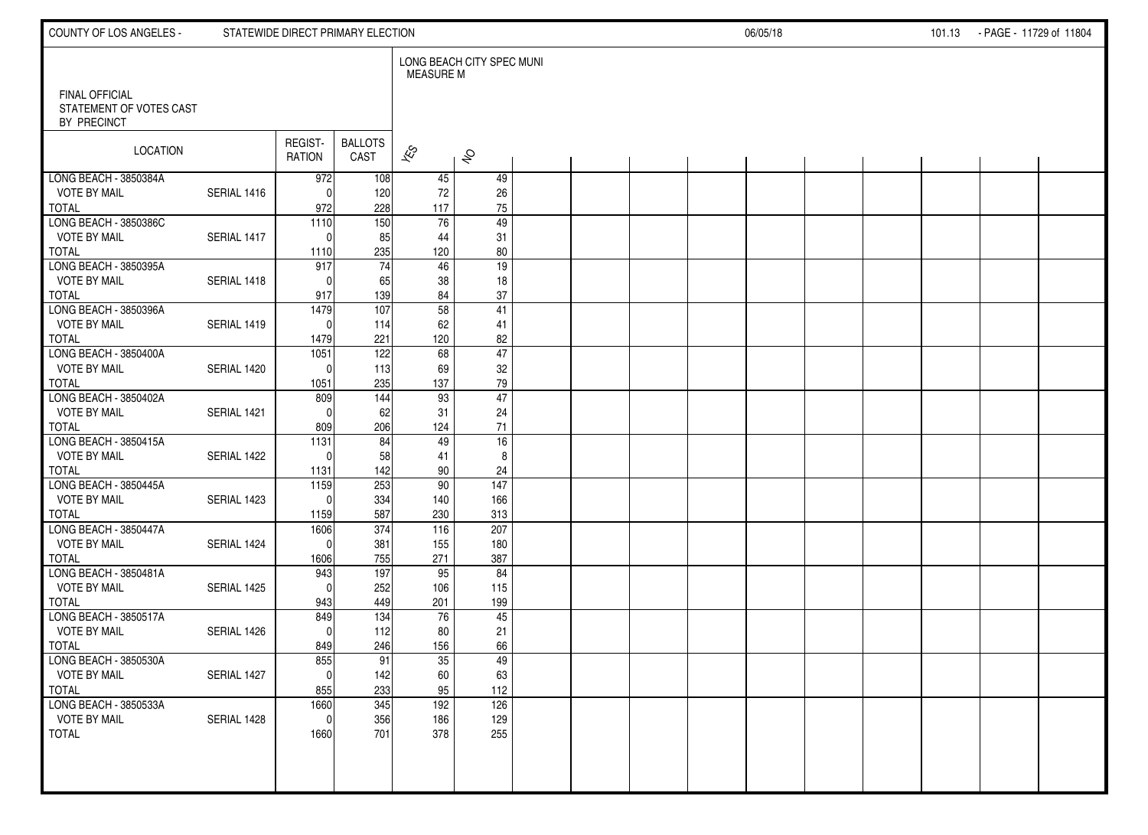| COUNTY OF LOS ANGELES -                          |             | STATEWIDE DIRECT PRIMARY ELECTION |                  |                          |                           |  | 06/05/18 |  |  |  |  |  | 101.13 - PAGE - 11729 of 11804 |  |
|--------------------------------------------------|-------------|-----------------------------------|------------------|--------------------------|---------------------------|--|----------|--|--|--|--|--|--------------------------------|--|
| <b>FINAL OFFICIAL</b><br>STATEMENT OF VOTES CAST |             |                                   |                  | <b>MEASURE M</b>         | LONG BEACH CITY SPEC MUNI |  |          |  |  |  |  |  |                                |  |
| BY PRECINCT                                      |             |                                   |                  |                          |                           |  |          |  |  |  |  |  |                                |  |
| LOCATION                                         |             | REGIST-                           | <b>BALLOTS</b>   | $\overline{\mathscr{K}}$ |                           |  |          |  |  |  |  |  |                                |  |
|                                                  |             | <b>RATION</b>                     | CAST             |                          | $\hat{\mathcal{S}}$       |  |          |  |  |  |  |  |                                |  |
| LONG BEACH - 3850384A<br><b>VOTE BY MAIL</b>     | SERIAL 1416 | 972<br>$\mathbf{0}$               | 108<br>120       | 45<br>72                 | 49<br>26                  |  |          |  |  |  |  |  |                                |  |
| <b>TOTAL</b>                                     |             | 972                               | 228              | 117                      | $75\,$                    |  |          |  |  |  |  |  |                                |  |
| LONG BEACH - 3850386C                            |             | $\overline{1110}$                 | 150              | 76                       | $\overline{49}$           |  |          |  |  |  |  |  |                                |  |
| <b>VOTE BY MAIL</b><br><b>TOTAL</b>              | SERIAL 1417 | $\Omega$<br>1110                  | 85<br>235        | 44<br>120                | 31<br>80                  |  |          |  |  |  |  |  |                                |  |
| LONG BEACH - 3850395A                            |             | 917                               | 74               | 46                       | 19                        |  |          |  |  |  |  |  |                                |  |
| <b>VOTE BY MAIL</b><br><b>TOTAL</b>              | SERIAL 1418 | $\Omega$<br>917                   | 65<br>139        | 38<br>84                 | 18<br>37                  |  |          |  |  |  |  |  |                                |  |
| LONG BEACH - 3850396A                            |             | 1479                              | $\overline{107}$ | 58                       | 41                        |  |          |  |  |  |  |  |                                |  |
| <b>VOTE BY MAIL</b>                              | SERIAL 1419 | $\Omega$                          | 114              | 62                       | 41                        |  |          |  |  |  |  |  |                                |  |
| <b>TOTAL</b><br>LONG BEACH - 3850400A            |             | 1479<br>1051                      | 221<br>122       | 120<br>68                | 82<br>$\overline{47}$     |  |          |  |  |  |  |  |                                |  |
| <b>VOTE BY MAIL</b>                              | SERIAL 1420 | $\Omega$                          | 113              | 69                       | 32                        |  |          |  |  |  |  |  |                                |  |
| <b>TOTAL</b><br>LONG BEACH - 3850402A            |             | 1051<br>809                       | 235<br>144       | 137<br>93                | 79<br>47                  |  |          |  |  |  |  |  |                                |  |
| <b>VOTE BY MAIL</b>                              | SERIAL 1421 | $\Omega$                          | 62               | 31                       | 24                        |  |          |  |  |  |  |  |                                |  |
| <b>TOTAL</b>                                     |             | 809                               | 206              | 124                      | $71$                      |  |          |  |  |  |  |  |                                |  |
| LONG BEACH - 3850415A<br><b>VOTE BY MAIL</b>     | SERIAL 1422 | $\overline{1131}$<br>$\Omega$     | 84<br>58         | 49<br>41                 | 16<br>8                   |  |          |  |  |  |  |  |                                |  |
| <b>TOTAL</b>                                     |             | 1131                              | 142              | 90                       | 24                        |  |          |  |  |  |  |  |                                |  |
| LONG BEACH - 3850445A<br><b>VOTE BY MAIL</b>     | SERIAL 1423 | 1159<br>$\Omega$                  | 253<br>334       | 90                       | $\frac{147}{147}$<br>166  |  |          |  |  |  |  |  |                                |  |
| <b>TOTAL</b>                                     |             | 1159                              | 587              | 140<br>230               | 313                       |  |          |  |  |  |  |  |                                |  |
| LONG BEACH - 3850447A                            |             | 1606                              | 374              | 116                      | 207                       |  |          |  |  |  |  |  |                                |  |
| <b>VOTE BY MAIL</b><br><b>TOTAL</b>              | SERIAL 1424 | $\Omega$<br>1606                  | 381<br>755       | 155<br>271               | 180<br>387                |  |          |  |  |  |  |  |                                |  |
| LONG BEACH - 3850481A                            |             | 943                               | 197              | 95                       | 84                        |  |          |  |  |  |  |  |                                |  |
| <b>VOTE BY MAIL</b><br><b>TOTAL</b>              | SERIAL 1425 | $\Omega$<br>943                   | 252<br>449       | 106<br>201               | 115<br>199                |  |          |  |  |  |  |  |                                |  |
| LONG BEACH - 3850517A                            |             | 849                               | 134              | 76                       | 45                        |  |          |  |  |  |  |  |                                |  |
| <b>VOTE BY MAIL</b>                              | SERIAL 1426 | $\mathbf{0}$                      | 112              | 80                       | 21                        |  |          |  |  |  |  |  |                                |  |
| <b>TOTAL</b><br>LONG BEACH - 3850530A            |             | 849<br>855                        | 246<br>91        | 156<br>35                | 66<br>49                  |  |          |  |  |  |  |  |                                |  |
| <b>VOTE BY MAIL</b>                              | SERIAL 1427 | 0                                 | 142              | 60                       | 63                        |  |          |  |  |  |  |  |                                |  |
| <b>TOTAL</b><br>LONG BEACH - 3850533A            |             | 855<br>1660                       | 233<br>345       | 95<br>192                | 112<br>126                |  |          |  |  |  |  |  |                                |  |
| <b>VOTE BY MAIL</b>                              | SERIAL 1428 | 0                                 | 356              | 186                      | 129                       |  |          |  |  |  |  |  |                                |  |
| TOTAL                                            |             | 1660                              | 701              | 378                      | 255                       |  |          |  |  |  |  |  |                                |  |
|                                                  |             |                                   |                  |                          |                           |  |          |  |  |  |  |  |                                |  |
|                                                  |             |                                   |                  |                          |                           |  |          |  |  |  |  |  |                                |  |
|                                                  |             |                                   |                  |                          |                           |  |          |  |  |  |  |  |                                |  |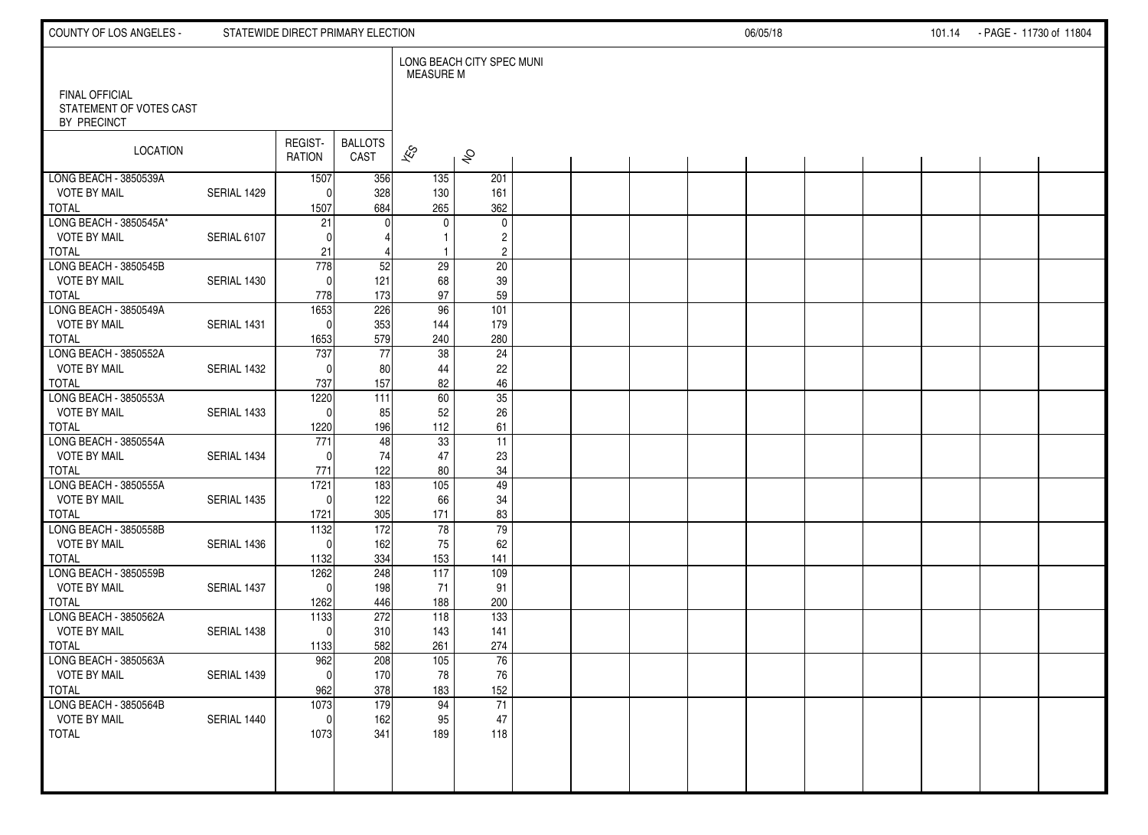| COUNTY OF LOS ANGELES -                          |             | STATEWIDE DIRECT PRIMARY ELECTION |                 |                          |                               |  | 06/05/18 |  |  |  |  |  | 101.14 - PAGE - 11730 of 11804 |  |
|--------------------------------------------------|-------------|-----------------------------------|-----------------|--------------------------|-------------------------------|--|----------|--|--|--|--|--|--------------------------------|--|
| <b>FINAL OFFICIAL</b><br>STATEMENT OF VOTES CAST |             |                                   |                 | <b>MEASURE M</b>         | LONG BEACH CITY SPEC MUNI     |  |          |  |  |  |  |  |                                |  |
| BY PRECINCT                                      |             |                                   |                 |                          |                               |  |          |  |  |  |  |  |                                |  |
| LOCATION                                         |             | REGIST-                           | <b>BALLOTS</b>  | $\overline{\mathscr{K}}$ |                               |  |          |  |  |  |  |  |                                |  |
|                                                  |             | <b>RATION</b>                     | CAST            |                          | $\hat{\mathcal{S}}$           |  |          |  |  |  |  |  |                                |  |
| LONG BEACH - 3850539A<br><b>VOTE BY MAIL</b>     | SERIAL 1429 | 1507<br>$\mathbf{0}$              | 356<br>328      | $\overline{135}$<br>130  | 201<br>161                    |  |          |  |  |  |  |  |                                |  |
| <b>TOTAL</b>                                     |             | 1507                              | 684             | 265                      | 362                           |  |          |  |  |  |  |  |                                |  |
| LONG BEACH - 3850545A*<br><b>VOTE BY MAIL</b>    | SERIAL 6107 | 21<br>$\Omega$                    |                 | 0                        | $\mathbf 0$<br>$\overline{c}$ |  |          |  |  |  |  |  |                                |  |
| <b>TOTAL</b>                                     |             | 21                                |                 |                          | $\overline{c}$                |  |          |  |  |  |  |  |                                |  |
| LONG BEACH - 3850545B<br><b>VOTE BY MAIL</b>     | SERIAL 1430 | 778<br>$\mathbf{0}$               | 52<br>121       | 29<br>68                 | $\overline{20}$<br>39         |  |          |  |  |  |  |  |                                |  |
| <b>TOTAL</b>                                     |             | 778                               | 173             | 97                       | 59                            |  |          |  |  |  |  |  |                                |  |
| LONG BEACH - 3850549A<br><b>VOTE BY MAIL</b>     | SERIAL 1431 | 1653<br>$\mathbf{0}$              | 226<br>353      | 96<br>144                | 101<br>179                    |  |          |  |  |  |  |  |                                |  |
| <b>TOTAL</b>                                     |             | 1653                              | 579             | 240                      | 280                           |  |          |  |  |  |  |  |                                |  |
| LONG BEACH - 3850552A                            |             | 737                               | $\overline{77}$ | 38                       | $\overline{24}$               |  |          |  |  |  |  |  |                                |  |
| <b>VOTE BY MAIL</b><br><b>TOTAL</b>              | SERIAL 1432 | $\Omega$<br>737                   | 80<br>157       | 44<br>82                 | 22<br>46                      |  |          |  |  |  |  |  |                                |  |
| LONG BEACH - 3850553A                            |             | 1220                              | 111             | 60                       | 35                            |  |          |  |  |  |  |  |                                |  |
| <b>VOTE BY MAIL</b><br><b>TOTAL</b>              | SERIAL 1433 | $\Omega$<br>1220                  | 85<br>196       | 52<br>112                | 26<br>61                      |  |          |  |  |  |  |  |                                |  |
| LONG BEACH - 3850554A                            |             | 771                               | 48              | 33                       | $\overline{11}$               |  |          |  |  |  |  |  |                                |  |
| <b>VOTE BY MAIL</b><br><b>TOTAL</b>              | SERIAL 1434 | $\Omega$<br>771                   | 74<br>122       | 47<br>80                 | 23<br>34                      |  |          |  |  |  |  |  |                                |  |
| LONG BEACH - 3850555A                            |             | 1721                              | 183             | 105                      | 49                            |  |          |  |  |  |  |  |                                |  |
| <b>VOTE BY MAIL</b><br><b>TOTAL</b>              | SERIAL 1435 | $\Omega$<br>1721                  | 122<br>305      | 66<br>171                | 34<br>83                      |  |          |  |  |  |  |  |                                |  |
| LONG BEACH - 3850558B                            |             | 1132                              | $\frac{1}{2}$   | 78                       | 79                            |  |          |  |  |  |  |  |                                |  |
| <b>VOTE BY MAIL</b><br><b>TOTAL</b>              | SERIAL 1436 | $\Omega$                          | 162<br>334      | 75                       | 62                            |  |          |  |  |  |  |  |                                |  |
| LONG BEACH - 3850559B                            |             | 1132<br>1262                      | 248             | 153<br>117               | 141<br>109                    |  |          |  |  |  |  |  |                                |  |
| <b>VOTE BY MAIL</b>                              | SERIAL 1437 | $\mathbf{0}$                      | 198             | 71                       | 91                            |  |          |  |  |  |  |  |                                |  |
| <b>TOTAL</b><br>LONG BEACH - 3850562A            |             | 1262<br>1133                      | 446<br>272      | 188<br>118               | 200<br>$\overline{133}$       |  |          |  |  |  |  |  |                                |  |
| <b>VOTE BY MAIL</b>                              | SERIAL 1438 | $\mathbf{0}$                      | 310             | 143                      | 141                           |  |          |  |  |  |  |  |                                |  |
| <b>TOTAL</b><br>LONG BEACH - 3850563A            |             | 1133<br>962                       | 582<br>208      | 261<br>105               | 274<br>76                     |  |          |  |  |  |  |  |                                |  |
| <b>VOTE BY MAIL</b>                              | SERIAL 1439 | $\overline{0}$                    | 170             | 78                       | 76                            |  |          |  |  |  |  |  |                                |  |
| <b>TOTAL</b><br>LONG BEACH - 3850564B            |             | 962<br>1073                       | 378<br>179      | 183<br>94                | 152<br>$\overline{71}$        |  |          |  |  |  |  |  |                                |  |
| <b>VOTE BY MAIL</b>                              | SERIAL 1440 | $\mathbf{0}$                      | 162             | 95                       | 47                            |  |          |  |  |  |  |  |                                |  |
| TOTAL                                            |             | 1073                              | 341             | 189                      | 118                           |  |          |  |  |  |  |  |                                |  |
|                                                  |             |                                   |                 |                          |                               |  |          |  |  |  |  |  |                                |  |
|                                                  |             |                                   |                 |                          |                               |  |          |  |  |  |  |  |                                |  |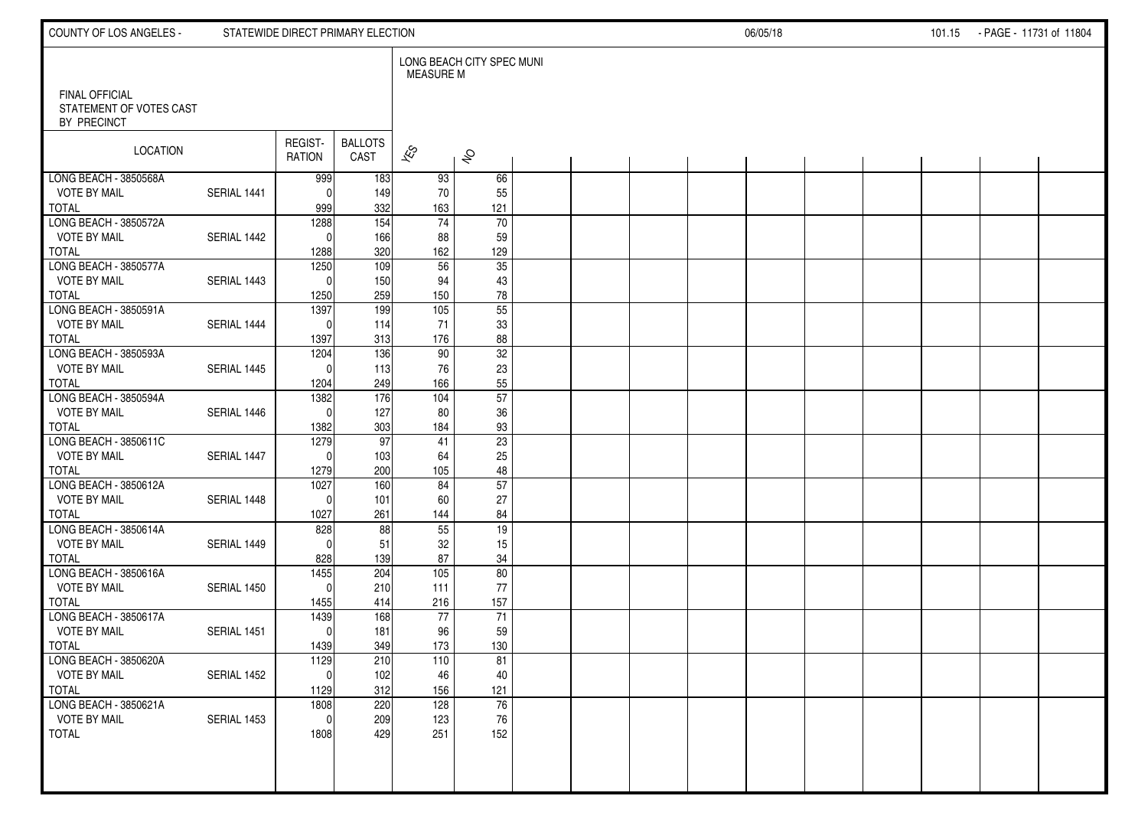| COUNTY OF LOS ANGELES -                                         | 06/05/18    |                          |                        |                          |                           |  | 101.15 PAGE - 11731 of 11804 |  |  |  |  |  |  |  |
|-----------------------------------------------------------------|-------------|--------------------------|------------------------|--------------------------|---------------------------|--|------------------------------|--|--|--|--|--|--|--|
|                                                                 |             |                          |                        | <b>MEASURE M</b>         | LONG BEACH CITY SPEC MUNI |  |                              |  |  |  |  |  |  |  |
| <b>FINAL OFFICIAL</b><br>STATEMENT OF VOTES CAST<br>BY PRECINCT |             |                          |                        |                          |                           |  |                              |  |  |  |  |  |  |  |
| LOCATION                                                        |             | REGIST-<br><b>RATION</b> | <b>BALLOTS</b><br>CAST | $\overline{\mathscr{E}}$ | $\hat{\mathcal{S}}$       |  |                              |  |  |  |  |  |  |  |
| LONG BEACH - 3850568A                                           |             | 999                      | 183                    | 93                       | 66                        |  |                              |  |  |  |  |  |  |  |
| <b>VOTE BY MAIL</b>                                             | SERIAL 1441 | $\Omega$                 | 149                    | 70                       | 55                        |  |                              |  |  |  |  |  |  |  |
| <b>TOTAL</b>                                                    |             | 999                      | 332                    | 163                      | 121                       |  |                              |  |  |  |  |  |  |  |
| LONG BEACH - 3850572A                                           |             | 1288                     | $\overline{154}$       | 74                       | $\overline{70}$           |  |                              |  |  |  |  |  |  |  |
| <b>VOTE BY MAIL</b><br><b>TOTAL</b>                             | SERIAL 1442 | $\mathbf{0}$             | 166<br>320             | 88<br>162                | 59<br>129                 |  |                              |  |  |  |  |  |  |  |
| LONG BEACH 3850577A                                             |             | 1288<br>1250             | 109                    | 56                       | $\overline{35}$           |  |                              |  |  |  |  |  |  |  |
| <b>VOTE BY MAIL</b>                                             | SERIAL 1443 | $\Omega$                 | 150                    | 94                       | 43                        |  |                              |  |  |  |  |  |  |  |
| <b>TOTAL</b>                                                    |             | 1250                     | 259                    | 150                      | ${\bf 78}$                |  |                              |  |  |  |  |  |  |  |
| LONG BEACH - 3850591A                                           |             | 1397                     | 199                    | 105                      | $\overline{55}$           |  |                              |  |  |  |  |  |  |  |
| <b>VOTE BY MAIL</b>                                             | SERIAL 1444 | $\Omega$                 | 114                    | 71                       | 33                        |  |                              |  |  |  |  |  |  |  |
| <b>TOTAL</b>                                                    |             | 1397                     | 313                    | 176                      | 88                        |  |                              |  |  |  |  |  |  |  |
| LONG BEACH - 3850593A                                           |             | 1204                     | 136                    | 90                       | $\overline{32}$           |  |                              |  |  |  |  |  |  |  |
| <b>VOTE BY MAIL</b>                                             | SERIAL 1445 | $\Omega$                 | 113                    | 76                       | 23                        |  |                              |  |  |  |  |  |  |  |
| <b>TOTAL</b>                                                    |             | 1204                     | 249                    | 166                      | 55                        |  |                              |  |  |  |  |  |  |  |
| LONG BEACH - 3850594A                                           |             | 1382                     | 176                    | 104                      | 57                        |  |                              |  |  |  |  |  |  |  |
| <b>VOTE BY MAIL</b>                                             | SERIAL 1446 | $\Omega$                 | 127                    | 80                       | 36                        |  |                              |  |  |  |  |  |  |  |
| <b>TOTAL</b>                                                    |             | 1382                     | 303                    | 184                      | 93                        |  |                              |  |  |  |  |  |  |  |
| LONG BEACH - 3850611C<br><b>VOTE BY MAIL</b>                    | SERIAL 1447 | 1279<br>$\Omega$         | 97<br>103              | 41                       | 23                        |  |                              |  |  |  |  |  |  |  |
| <b>TOTAL</b>                                                    |             | 1279                     | 200                    | 64<br>105                | 25<br>48                  |  |                              |  |  |  |  |  |  |  |
| LONG BEACH - 3850612A                                           |             | 1027                     | 160                    | 84                       | 57                        |  |                              |  |  |  |  |  |  |  |
| <b>VOTE BY MAIL</b>                                             | SERIAL 1448 | $\Omega$                 | 101                    | 60                       | 27                        |  |                              |  |  |  |  |  |  |  |
| <b>TOTAL</b>                                                    |             | 1027                     | 261                    | 144                      | 84                        |  |                              |  |  |  |  |  |  |  |
| LONG BEACH - 3850614A                                           |             | 828                      | 88                     | 55                       | 19                        |  |                              |  |  |  |  |  |  |  |
| <b>VOTE BY MAIL</b>                                             | SERIAL 1449 | $\Omega$                 | 51                     | 32                       | 15                        |  |                              |  |  |  |  |  |  |  |
| <b>TOTAL</b>                                                    |             | 828                      | 139                    | 87                       | 34                        |  |                              |  |  |  |  |  |  |  |
| LONG BEACH - 3850616A                                           |             | 1455                     | 204                    | $\overline{105}$         | 80                        |  |                              |  |  |  |  |  |  |  |
| <b>VOTE BY MAIL</b>                                             | SERIAL 1450 | $\mathbf{0}$             | 210                    | 111                      | 77                        |  |                              |  |  |  |  |  |  |  |
| <b>TOTAL</b>                                                    |             | 1455                     | 414                    | 216                      | 157                       |  |                              |  |  |  |  |  |  |  |
| LONG BEACH - 3850617A                                           |             | 1439                     | 168                    | 77                       | 71                        |  |                              |  |  |  |  |  |  |  |
| <b>VOTE BY MAIL</b><br><b>TOTAL</b>                             | SERIAL 1451 | $\mathbf{0}$             | 181                    | 96<br>173                | 59<br>130                 |  |                              |  |  |  |  |  |  |  |
| LONG BEACH - 3850620A                                           |             | 1439<br>1129             | 349<br>210             | 110                      | 81                        |  |                              |  |  |  |  |  |  |  |
| <b>VOTE BY MAIL</b>                                             | SERIAL 1452 | -01                      | 102                    | 46                       | 40                        |  |                              |  |  |  |  |  |  |  |
| <b>TOTAL</b>                                                    |             | 1129                     | 312                    | 156                      | 121                       |  |                              |  |  |  |  |  |  |  |
| LONG BEACH - 3850621A                                           |             | 1808                     | 220                    | 128                      | 76                        |  |                              |  |  |  |  |  |  |  |
| <b>VOTE BY MAIL</b>                                             | SERIAL 1453 | 0                        | 209                    | 123                      | 76                        |  |                              |  |  |  |  |  |  |  |
| TOTAL                                                           |             | 1808                     | 429                    | 251                      | 152                       |  |                              |  |  |  |  |  |  |  |
|                                                                 |             |                          |                        |                          |                           |  |                              |  |  |  |  |  |  |  |
|                                                                 |             |                          |                        |                          |                           |  |                              |  |  |  |  |  |  |  |
|                                                                 |             |                          |                        |                          |                           |  |                              |  |  |  |  |  |  |  |
|                                                                 |             |                          |                        |                          |                           |  |                              |  |  |  |  |  |  |  |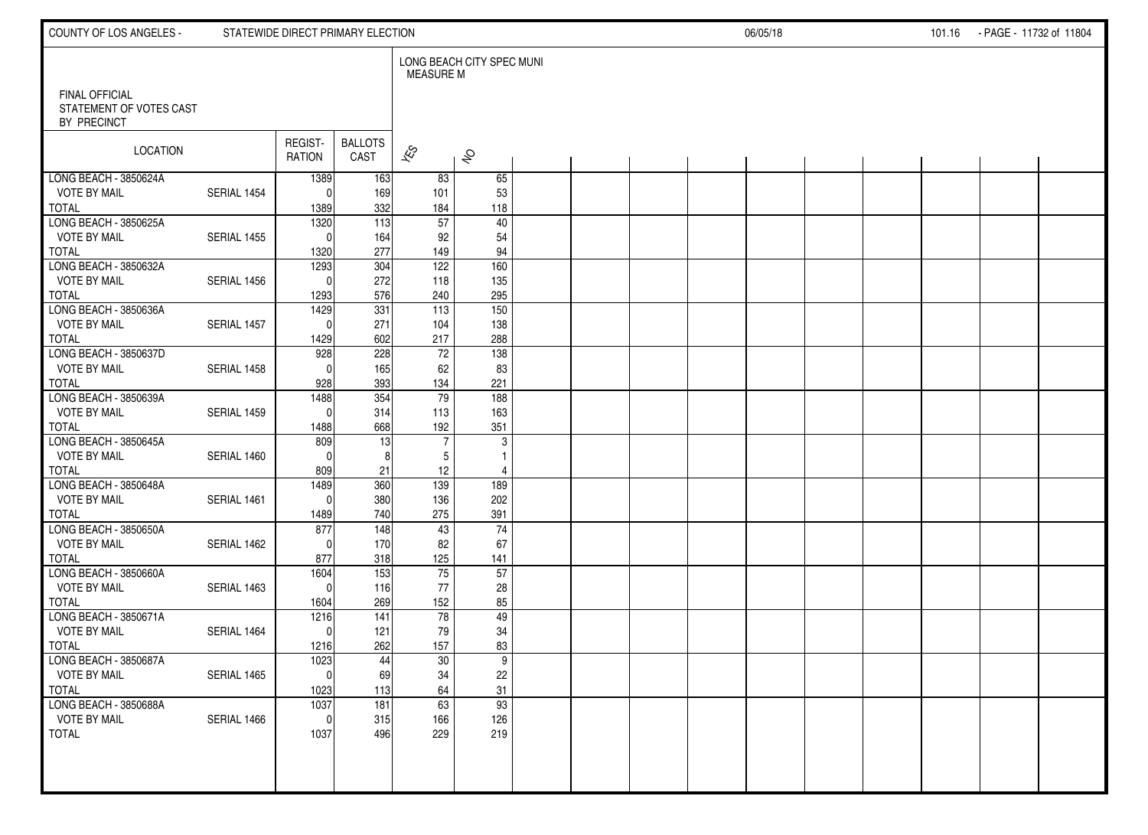| COUNTY OF LOS ANGELES -                          |             | STATEWIDE DIRECT PRIMARY ELECTION |                         |                          |                           | 06/05/18 |  |  |  |  | 101.16 - PAGE - 11732 of 11804 |  |  |
|--------------------------------------------------|-------------|-----------------------------------|-------------------------|--------------------------|---------------------------|----------|--|--|--|--|--------------------------------|--|--|
| <b>FINAL OFFICIAL</b><br>STATEMENT OF VOTES CAST |             |                                   |                         | MEASURE M                | LONG BEACH CITY SPEC MUNI |          |  |  |  |  |                                |  |  |
| BY PRECINCT                                      |             |                                   |                         |                          |                           |          |  |  |  |  |                                |  |  |
| LOCATION                                         |             | REGIST-                           | <b>BALLOTS</b>          | $\overline{\mathscr{K}}$ |                           |          |  |  |  |  |                                |  |  |
|                                                  |             | <b>RATION</b>                     | CAST                    |                          | $\hat{\mathcal{S}}$       |          |  |  |  |  |                                |  |  |
| LONG BEACH - 3850624A<br><b>VOTE BY MAIL</b>     | SERIAL 1454 | 1389<br>$\mathbf{0}$              | 163<br>169              | 83<br>101                | 65<br>53                  |          |  |  |  |  |                                |  |  |
| <b>TOTAL</b>                                     |             | 1389                              | 332                     | 184                      | 118                       |          |  |  |  |  |                                |  |  |
| LONG BEACH - 3850625A<br><b>VOTE BY MAIL</b>     | SERIAL 1455 | 1320<br>$\Omega$                  | $\overline{113}$<br>164 | 57<br>92                 | 40<br>54                  |          |  |  |  |  |                                |  |  |
| <b>TOTAL</b>                                     |             | 1320                              | 277                     | 149                      | 94                        |          |  |  |  |  |                                |  |  |
| LONG BEACH - 3850632A                            |             | 1293<br>$\Omega$                  | 304                     | 122                      | 160                       |          |  |  |  |  |                                |  |  |
| <b>VOTE BY MAIL</b><br><b>TOTAL</b>              | SERIAL 1456 | 1293                              | 272<br>576              | 118<br>240               | 135<br>295                |          |  |  |  |  |                                |  |  |
| LONG BEACH - 3850636A                            |             | 1429                              | 331                     | 113                      | 150                       |          |  |  |  |  |                                |  |  |
| <b>VOTE BY MAIL</b><br><b>TOTAL</b>              | SERIAL 1457 | $\mathbf{0}$<br>1429              | 271<br>602              | 104<br>217               | 138<br>288                |          |  |  |  |  |                                |  |  |
| LONG BEACH - 3850637D                            |             | 928                               | 228                     | 72                       | 138                       |          |  |  |  |  |                                |  |  |
| <b>VOTE BY MAIL</b><br><b>TOTAL</b>              | SERIAL 1458 | $\Omega$<br>928                   | 165<br>393              | 62<br>134                | 83<br>221                 |          |  |  |  |  |                                |  |  |
| LONG BEACH - 3850639A                            |             | 1488                              | 354                     | 79                       | 188                       |          |  |  |  |  |                                |  |  |
| <b>VOTE BY MAIL</b><br><b>TOTAL</b>              | SERIAL 1459 | $\Omega$<br>1488                  | 314<br>668              | 113<br>192               | 163<br>351                |          |  |  |  |  |                                |  |  |
| LONG BEACH - 3850645A                            |             | 809                               | 13                      | $\overline{7}$           | 3                         |          |  |  |  |  |                                |  |  |
| <b>VOTE BY MAIL</b>                              | SERIAL 1460 | $\Omega$                          | 8                       | 5                        | $\mathbf{1}$              |          |  |  |  |  |                                |  |  |
| <b>TOTAL</b><br>LONG BEACH - 3850648A            |             | 809<br>1489                       | 21<br>360               | 12<br>139                | 4<br>189                  |          |  |  |  |  |                                |  |  |
| <b>VOTE BY MAIL</b>                              | SERIAL 1461 | $\mathbf{0}$                      | 380                     | 136                      | 202                       |          |  |  |  |  |                                |  |  |
| <b>TOTAL</b><br>LONG BEACH - 3850650A            |             | 1489<br>877                       | 740<br>148              | 275<br>43                | 391<br>74                 |          |  |  |  |  |                                |  |  |
| <b>VOTE BY MAIL</b>                              | SERIAL 1462 | $\Omega$                          | 170                     | 82                       | 67                        |          |  |  |  |  |                                |  |  |
| <b>TOTAL</b><br>LONG BEACH - 3850660A            |             | 877<br>1604                       | 318<br>153              | 125<br>75                | 141<br>57                 |          |  |  |  |  |                                |  |  |
| <b>VOTE BY MAIL</b>                              | SERIAL 1463 | $\mathbf{0}$                      | 116                     | 77                       | 28                        |          |  |  |  |  |                                |  |  |
| <b>TOTAL</b><br>LONG BEACH - 3850671A            |             | 1604<br>1216                      | 269<br>141              | 152<br>78                | 85<br>49                  |          |  |  |  |  |                                |  |  |
| <b>VOTE BY MAIL</b>                              | SERIAL 1464 | $\mathbf{0}$                      | 121                     | 79                       | 34                        |          |  |  |  |  |                                |  |  |
| <b>TOTAL</b><br>LONG BEACH - 3850687A            |             | 1216<br>1023                      | 262<br>44               | 157<br>30                | 83<br>$\boldsymbol{9}$    |          |  |  |  |  |                                |  |  |
| <b>VOTE BY MAIL</b>                              | SERIAL 1465 | 0                                 | 69                      | $34\,$                   | 22                        |          |  |  |  |  |                                |  |  |
| <b>TOTAL</b>                                     |             | 1023                              | 113                     | 64                       | 31<br>93                  |          |  |  |  |  |                                |  |  |
| LONG BEACH - 3850688A<br><b>VOTE BY MAIL</b>     | SERIAL 1466 | 1037<br>$\mathbf{0}$              | 181<br>315              | 63<br>166                | 126                       |          |  |  |  |  |                                |  |  |
| TOTAL                                            |             | 1037                              | 496                     | 229                      | 219                       |          |  |  |  |  |                                |  |  |
|                                                  |             |                                   |                         |                          |                           |          |  |  |  |  |                                |  |  |
|                                                  |             |                                   |                         |                          |                           |          |  |  |  |  |                                |  |  |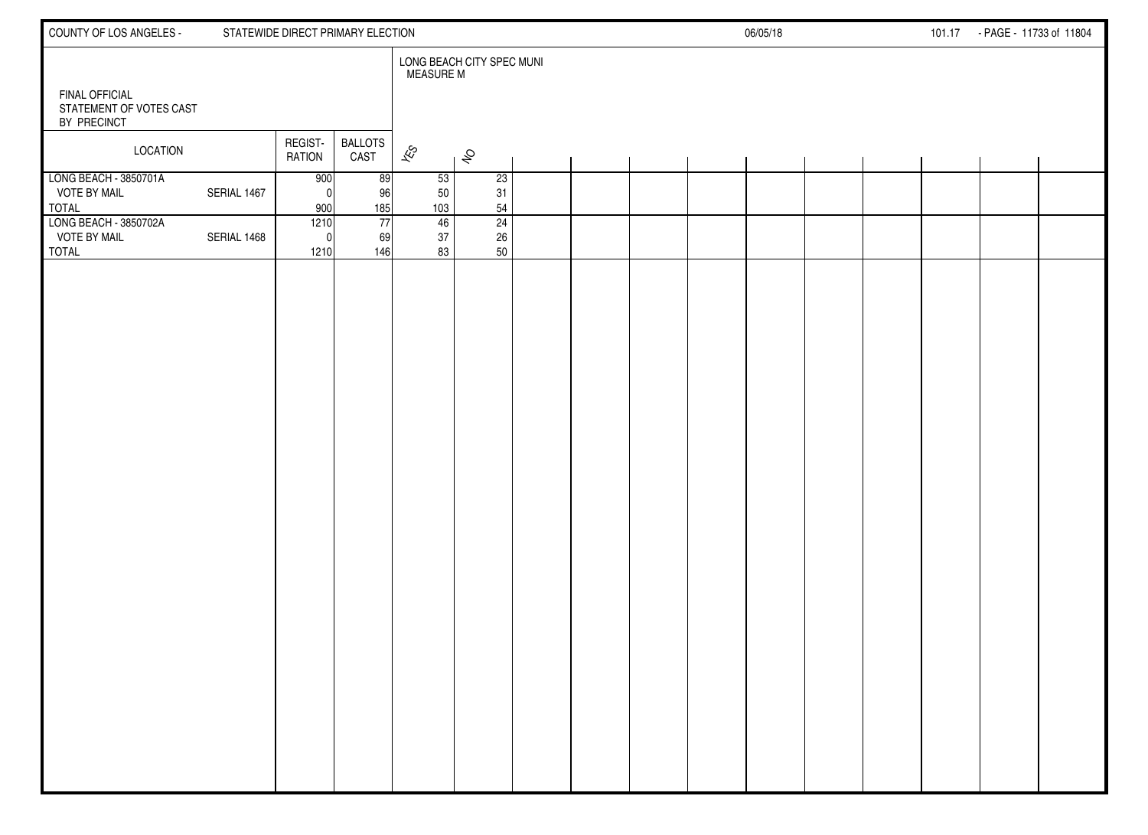| COUNTY OF LOS ANGELES -<br>STATEWIDE DIRECT PRIMARY ELECTION    |             |                          |                              |                             |                 |                           |  |  |  | 06/05/18<br>101.17 - PAGE - 11733 of 11804 |  |  |  |  |  |  |
|-----------------------------------------------------------------|-------------|--------------------------|------------------------------|-----------------------------|-----------------|---------------------------|--|--|--|--------------------------------------------|--|--|--|--|--|--|
| <b>FINAL OFFICIAL</b><br>STATEMENT OF VOTES CAST<br>BY PRECINCT |             |                          |                              | <b>MEASURE M</b>            |                 | LONG BEACH CITY SPEC MUNI |  |  |  |                                            |  |  |  |  |  |  |
| LOCATION                                                        |             | REGIST-<br><b>RATION</b> | <b>BALLOTS</b><br>CAST       | $\mathscr{E}_{\mathcal{S}}$ |                 | $\hat{\mathcal{S}}$       |  |  |  |                                            |  |  |  |  |  |  |
| LONG BEACH - 3850701A<br><b>VOTE BY MAIL</b><br><b>TOTAL</b>    | SERIAL 1467 | 900<br>$\Omega$<br>900   | 89<br>96<br>185              |                             | 53<br>50<br>103 | 23<br>31<br>54            |  |  |  |                                            |  |  |  |  |  |  |
| LONG BEACH - 3850702A<br><b>VOTE BY MAIL</b><br><b>TOTAL</b>    | SERIAL 1468 | 1210<br>1210             | $\overline{77}$<br>69<br>146 |                             | 46<br>37<br>83  | 24<br>26<br>50            |  |  |  |                                            |  |  |  |  |  |  |
|                                                                 |             |                          |                              |                             |                 |                           |  |  |  |                                            |  |  |  |  |  |  |
|                                                                 |             |                          |                              |                             |                 |                           |  |  |  |                                            |  |  |  |  |  |  |